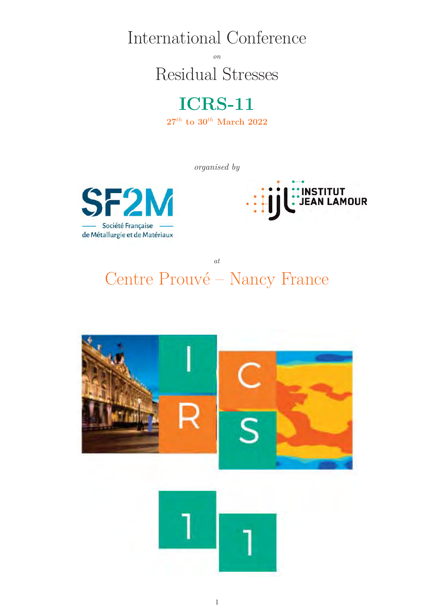International Conference

*on* Residual Stresses



*organised by*





*at* Centre Prouvé – Nancy France

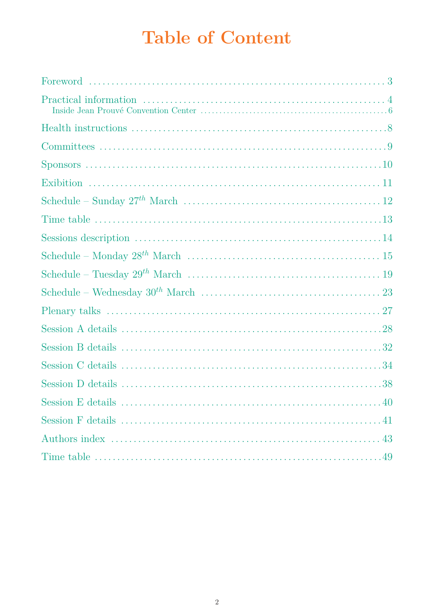# **Table of Content**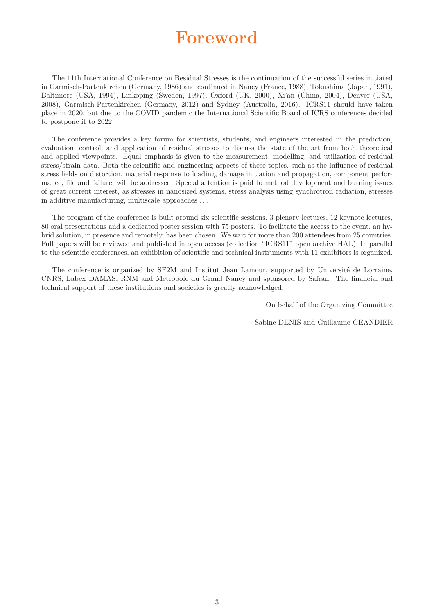### **Foreword**

The 11th International Conference on Residual Stresses is the continuation of the successful series initiated in Garmisch-Partenkirchen (Germany, 1986) and continued in Nancy (France, 1988), Tokushima (Japan, 1991), Baltimore (USA, 1994), Linkoping (Sweden, 1997), Oxford (UK, 2000), Xi'an (China, 2004), Denver (USA, 2008), Garmisch-Partenkirchen (Germany, 2012) and Sydney (Australia, 2016). ICRS11 should have taken place in 2020, but due to the COVID pandemic the International Scientific Board of ICRS conferences decided to postpone it to 2022.

The conference provides a key forum for scientists, students, and engineers interested in the prediction, evaluation, control, and application of residual stresses to discuss the state of the art from both theoretical and applied viewpoints. Equal emphasis is given to the measurement, modelling, and utilization of residual stress/strain data. Both the scientific and engineering aspects of these topics, such as the influence of residual stress fields on distortion, material response to loading, damage initiation and propagation, component performance, life and failure, will be addressed. Special attention is paid to method development and burning issues of great current interest, as stresses in nanosized systems, stress analysis using synchrotron radiation, stresses in additive manufacturing, multiscale approaches . . .

The program of the conference is built around six scientific sessions, 3 plenary lectures, 12 keynote lectures, 80 oral presentations and a dedicated poster session with 75 posters. To facilitate the access to the event, an hybrid solution, in presence and remotely, has been chosen. We wait for more than 200 attendees from 25 countries. Full papers will be reviewed and published in open access (collection "ICRS11" open archive HAL). In parallel to the scientific conferences, an exhibition of scientific and technical instruments with 11 exhibitors is organized.

The conference is organized by SF2M and Institut Jean Lamour, supported by Université de Lorraine, CNRS, Labex DAMAS, RNM and Metropole du Grand Nancy and sponsored by Safran. The financial and technical support of these institutions and societies is greatly acknowledged.

On behalf of the Organizing Committee

Sabine DENIS and Guillaume GEANDIER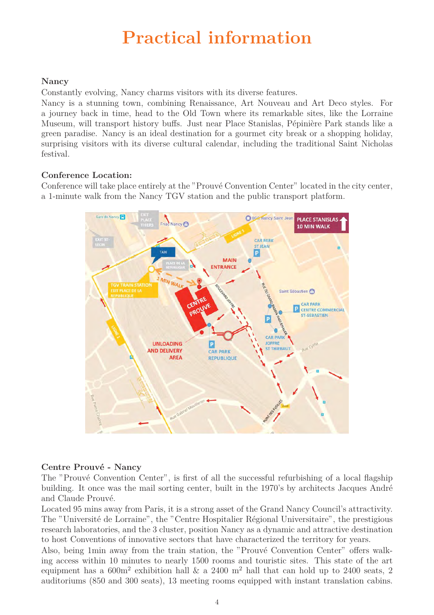# **Practical information**

### **Nancy**

Constantly evolving, Nancy charms visitors with its diverse features.

Nancy is a stunning town, combining Renaissance, Art Nouveau and Art Deco styles. For a journey back in time, head to the Old Town where its remarkable sites, like the Lorraine Museum, will transport history buffs. Just near Place Stanislas, Pépinière Park stands like a green paradise. Nancy is an ideal destination for a gourmet city break or a shopping holiday, surprising visitors with its diverse cultural calendar, including the traditional Saint Nicholas festival.

### **Conference Location:**

Conference will take place entirely at the "Prouvé Convention Center" located in the city center, a 1-minute walk from the Nancy TGV station and the public transport platform.



### **Centre Prouvé - Nancy**

The "Prouvé Convention Center", is first of all the successful refurbishing of a local flagship building. It once was the mail sorting center, built in the 1970's by architects Jacques André and Claude Prouvé.

Located 95 mins away from Paris, it is a strong asset of the Grand Nancy Council's attractivity. The "Université de Lorraine", the "Centre Hospitalier Régional Universitaire", the prestigious research laboratories, and the 3 cluster, position Nancy as a dynamic and attractive destination to host Conventions of innovative sectors that have characterized the territory for years.

Also, being 1min away from the train station, the "Prouvé Convention Center" offers walking access within 10 minutes to nearly 1500 rooms and touristic sites. This state of the art equipment has a  $600m^2$  exhibition hall  $\&$  a 2400 m<sup>2</sup> hall that can hold up to 2400 seats, 2 auditoriums (850 and 300 seats), 13 meeting rooms equipped with instant translation cabins.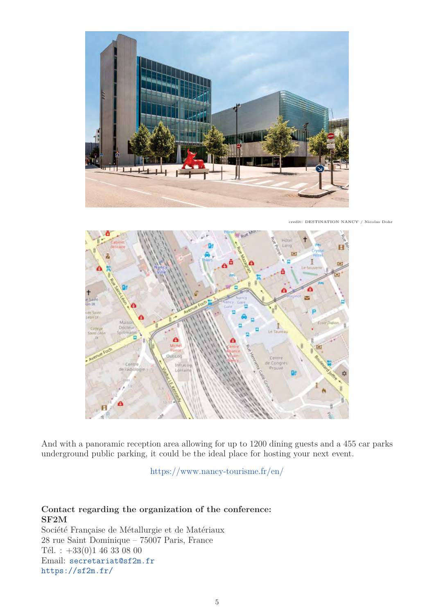

credit: DESTINATION NANCY / Nicolas Dohr



And with a panoramic reception area allowing for up to 1200 dining guests and a 455 car parks underground public parking, it could be the ideal place for hosting your next event.

https://www.nancy-tourisme.fr/en/

### **Contact regarding the organization of the conference: SF2M**

Société Française de Métallurgie et de Matériaux 28 rue Saint Dominique – 75007 Paris, France Tél. :  $+33(0)1$  46 33 08 00 Email: secretariat@sf2m.fr https://sf2m.fr/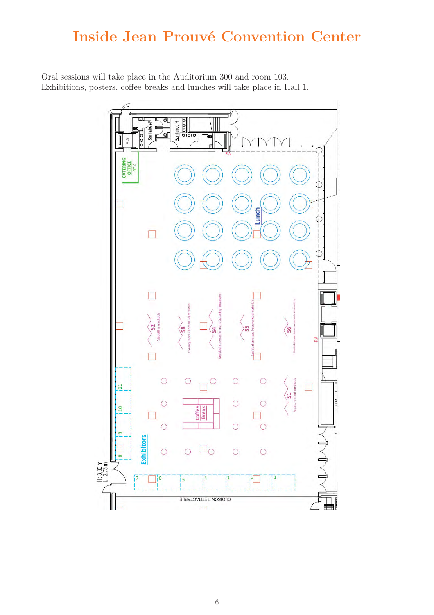### **Inside Jean Prouvé Convention Center**

Oral sessions will take place in the Auditorium 300 and room 103. Exhibitions, posters, coffee breaks and lunches will take place in Hall 1.

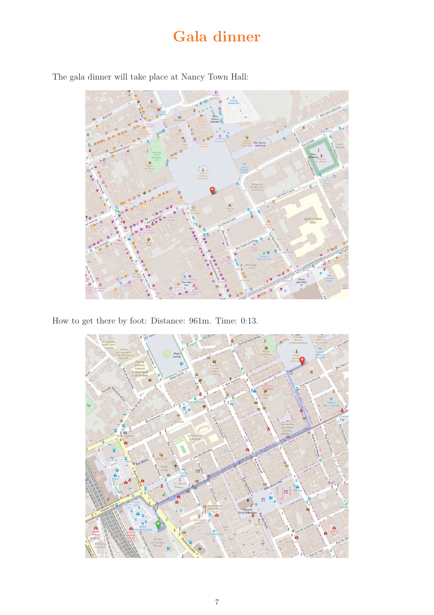### **Gala dinner**



The gala dinner will take place at Nancy Town Hall:

How to get there by foot: Distance: 961m. Time: 0:13.

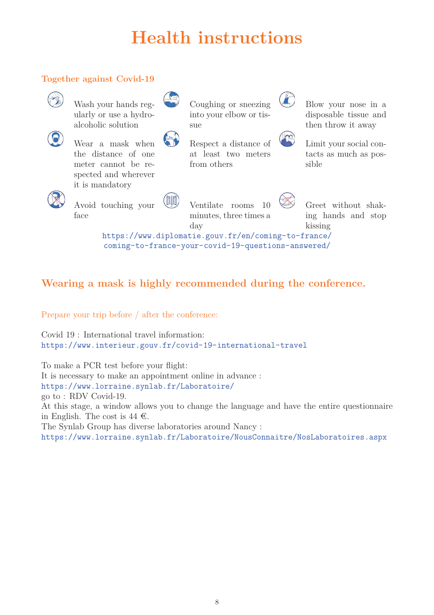# **Health instructions**

### **Together against Covid-19**



Wash your hands regularly or use a hydroalcoholic solution

Wear a mask when the distance of one meter cannot be respected and wherever

it is mandatory



 $\left( \begin{matrix} 1 \\ 0 \end{matrix} \right)$ 

Coughing or sneezing into your elbow or tissue

Respect a distance of at least two meters



Blow your nose in a disposable tissue and then throw it away



Limit your social contacts as much as possible



Avoid touching your face

Ventilate rooms 10 minutes, three times a day

Greet without shaking hands and stop kissing

https://www.diplomatie.gouv.fr/en/coming-to-france/ coming-to-france-your-covid-19-questions-answered/

from others

### **Wearing a mask is highly recommended during the conference.**

Prepare your trip before / after the conference:

Covid 19 : International travel information: https://www.interieur.gouv.fr/covid-19-international-travel

To make a PCR test before your flight: It is necessary to make an appointment online in advance : https://www.lorraine.synlab.fr/Laboratoire/ go to : RDV Covid-19. At this stage, a window allows you to change the language and have the entire questionnaire in English. The cost is 44  $\epsilon$ . The Synlab Group has diverse laboratories around Nancy : https://www.lorraine.synlab.fr/Laboratoire/NousConnaitre/NosLaboratoires.aspx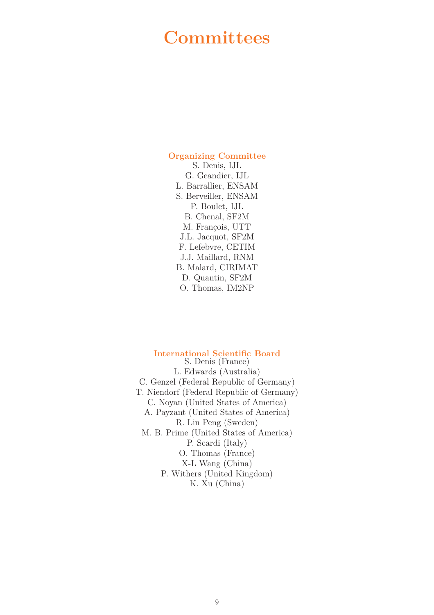### **Committees**

### **Organizing Committee**

S. Denis, IJL G. Geandier, IJL L. Barrallier, ENSAM S. Berveiller, ENSAM P. Boulet, IJL B. Chenal, SF2M M. François, UTT J.L. Jacquot, SF2M F. Lefebvre, CETIM J.J. Maillard, RNM B. Malard, CIRIMAT D. Quantin, SF2M O. Thomas, IM2NP

### **International Scientific Board**

S. Denis (France) L. Edwards (Australia) C. Genzel (Federal Republic of Germany) T. Niendorf (Federal Republic of Germany) C. Noyan (United States of America) A. Payzant (United States of America) R. Lin Peng (Sweden) M. B. Prime (United States of America) P. Scardi (Italy) O. Thomas (France) X-L Wang (China) P. Withers (United Kingdom) K. Xu (China)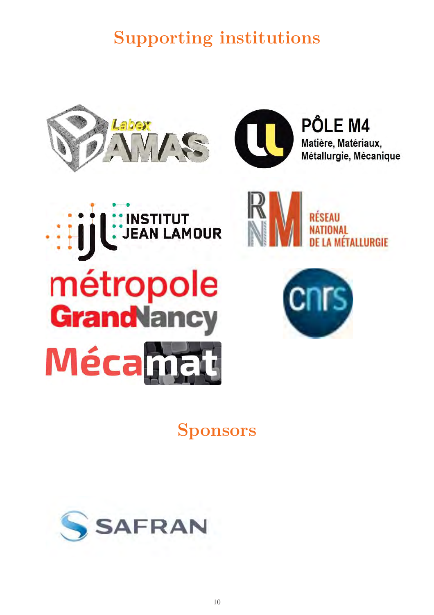**Supporting institutions**





PÔLE M4 Matière, Matériaux, Métallurgie, Mécanique





**Sponsors**

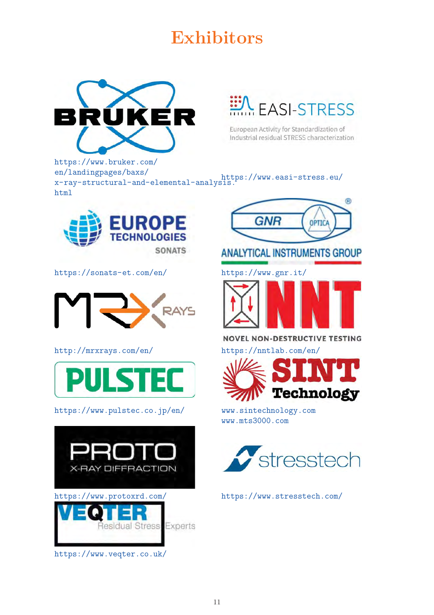# **Exhibitors**



**EASI-STRESS** 

European Activity for Standardization of Industrial residual STRESS characterization

https://www.bruker.com/ en/landingpages/baxs/ x-ray-structural-and-elemental-analysis. https://www.easi-stress.eu/ html



https://sonats-et.com/en/ https://www.gnr.it/



http://mrxrays.com/en/ https://nntlab.com/en/



https://www.pulstec.co.jp/en/ www.sintechnology.com





**ANALYTICAL INSTRUMENTS GROUP** 



**NOVEL NON-DESTRUCTIVE TESTING** 



www.mts3000.com

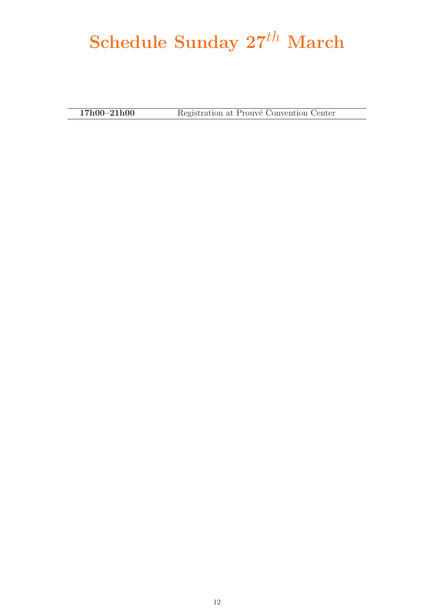# **Schedule Sunday 27***th* **March**

**17h00–21h00** Registration at Prouvé Convention Center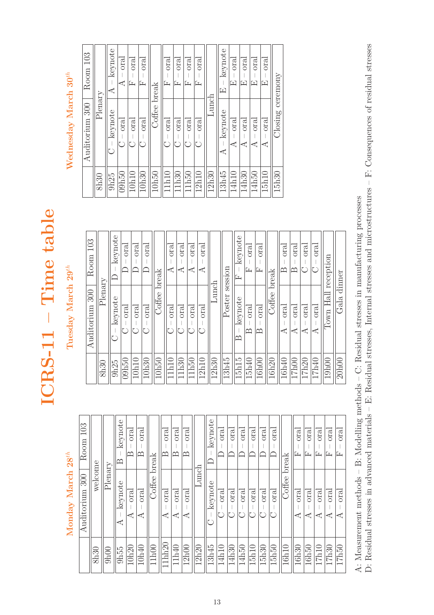Monday March $28^{th}$ **Monday March 28***th*

| 103<br>Room    |         |         | keynote<br>≃ | $total$<br>≃ | $1$<br>   | break  | oral<br>≃    | $total$<br>മ | $_{\rm ord}$<br>≃ |       | keynote | oral  | $oral$ | oral  | oral  | $total$ | oral    | break    | $_{\rm ora}$<br>Ŀ  | $_{\rm{oral}}$<br>Ŀ | oral<br>Ŀ | $total$<br>匞 | $1$<br>匞          |
|----------------|---------|---------|--------------|--------------|-----------|--------|--------------|--------------|-------------------|-------|---------|-------|--------|-------|-------|---------|---------|----------|--------------------|---------------------|-----------|--------------|-------------------|
| Auditorium 300 | welcome | Plenary | keynote<br>⊄ | $1$          | oral<br>⋖ | Coffee | oral<br>⋖    | $1$<br>⋖     | $1$<br>⋖          | dunch | keynote | $1$   | oral   | oral  | oral  | oral    | $total$ | Coffee I | $_{\rm oral}$<br>⋖ | $1$<br>⋖            | $1$<br>⋖  | $1$<br>⋖     | $_{\rm ord}$<br>⋖ |
|                | 8h30    | 9h00    | 9h55         | 10h20        | 10h40     | 11h00  | $11$ hh $20$ | 11h40        | 12h00             | 12h20 | 13h45   | 14h10 | 14h30  | 14h50 | 15h10 | 15h30   | 15h50   | 16h10    | 16h30              | 16h50               | 17h10     | 17h30        | 17h50             |

# ICRS-11 - Time table **ICRS-11 – Time table**

Tuesday March $29^{th}$ **Tuesday March 29***th*

| 103<br>Room       |         | keynote | $total$ | $total$ | $total$<br>└ | break  | oral<br>⋖ | oral<br>⋖ | oral<br>⋖ | oral<br>⋖ |       | session | keynote<br>E      | $_{\rm ord}$<br>匞 | $1$<br>匞    | breakk | $total$<br>≃ | oral<br>മ | oral     | oral         | reception    | dinner |
|-------------------|---------|---------|---------|---------|--------------|--------|-----------|-----------|-----------|-----------|-------|---------|-------------------|-------------------|-------------|--------|--------------|-----------|----------|--------------|--------------|--------|
| 300<br>Auditorium | Plenary | keynote | oral    | oral    | $total$      | Coffee | $total$   | oral      | oral      | $1$       | Lunch | Poster  | keynote<br>≃      | $1$<br>≃          | $oral$<br>≃ | Coffee | $total$<br>⋖ | $1$<br>⋖  | $1$<br>⋖ | $total$<br>⋖ | Hall<br>Town | Gala   |
|                   | 8h30    | 9h25    | 09h50   | 10h10   | 10h30        | 10h50  | 11h10     | 11h30     | 11h50     | 12h10     | 12h30 | 13h45   | 15h <sub>15</sub> | 15h40             | 16h00       | 16h20  | 16h40        | 17h00     | 17h20    | 17h40        | 19h00        | 20h00  |

# Wednesday March 30<sup>th</sup> **Wednesday March 30***th*

| Room 103       |            | keynote<br>⋖     | $1$<br>₫ | oral<br>匞 | oral<br>匞 | break   | $1$<br>ſı, | $1$<br>匞 | oral<br>匞 | $_{\rm or\,al}$<br>匞 |       | keynote<br>Œ | oral<br>匞 | $1$<br>囗 | $_{\rm{oral}}$<br>囜 | $total$<br>囜      |                  |  |  |
|----------------|------------|------------------|----------|-----------|-----------|---------|------------|----------|-----------|----------------------|-------|--------------|-----------|----------|---------------------|-------------------|------------------|--|--|
| Auditorium 300 | $P$ lenary | keynote          | $1$      | $1$       | $1$       | Coffee  | $1$        | $1$      | $1$       | $_{\rm{oral}}$       | hanch | keynote      | oral      | $1$<br>⋖ | $1$<br>⋖            | $1$<br>⋖          | Closing ceremony |  |  |
|                | 8h30       | 9h <sub>25</sub> | 09h50    | 10h10     | 10h30     | $10h50$ | 11h10      | 11h30    | 11h50     | 12h10                | 12h30 | 13h45        | 14h10     | 14h30    | 14h50               | 15h <sub>10</sub> | 15h30            |  |  |

A: Measurement methods – B: Modelling methods – C: Residual stresses in manufacturing processes<br>D: Residual stresses in advanced materials – E: Residual stresses, Internal stresses and microstructures – F: Consequences of D: Residual stresses in advanced materials – E: Residual stresses, Internal stresses and microstructures – F: Consequences of residual stresses A: Measurement methods – B: Modelling methods – C: Residual stresses in manufacturing processes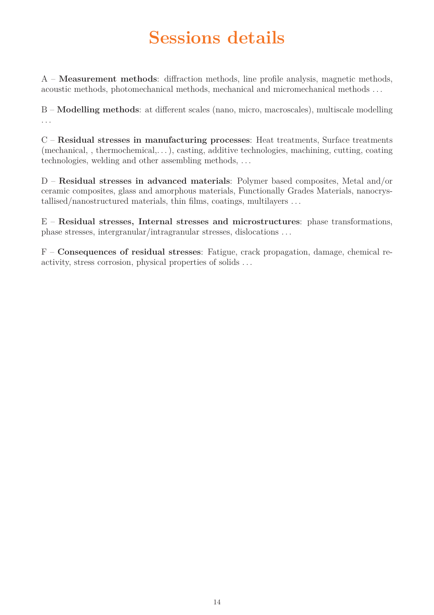# **Sessions details**

A – **Measurement methods**: diffraction methods, line profile analysis, magnetic methods, acoustic methods, photomechanical methods, mechanical and micromechanical methods . . .

B – **Modelling methods**: at different scales (nano, micro, macroscales), multiscale modelling ...

C – **Residual stresses in manufacturing processes**: Heat treatments, Surface treatments (mechanical, , thermochemical,. . . ), casting, additive technologies, machining, cutting, coating technologies, welding and other assembling methods, . . .

D – **Residual stresses in advanced materials**: Polymer based composites, Metal and/or ceramic composites, glass and amorphous materials, Functionally Grades Materials, nanocrystallised/nanostructured materials, thin films, coatings, multilayers . . .

E – **Residual stresses, Internal stresses and microstructures**: phase transformations, phase stresses, intergranular/intragranular stresses, dislocations . . .

F – **Consequences of residual stresses**: Fatigue, crack propagation, damage, chemical reactivity, stress corrosion, physical properties of solids . . .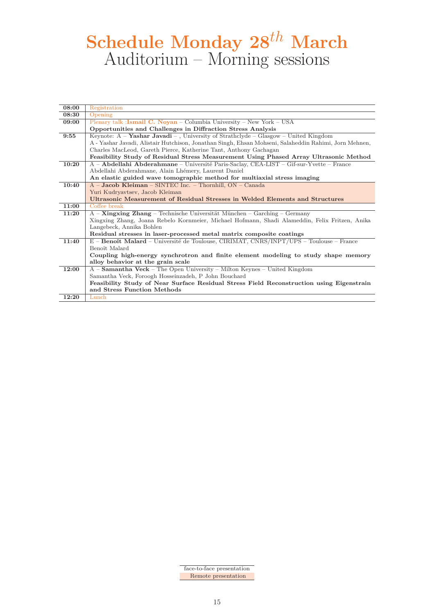# **Schedule Monday 28***th* **March** Auditorium – Morning sessions

| 08:00 | Registration                                                                                          |
|-------|-------------------------------------------------------------------------------------------------------|
| 08:30 | Opening                                                                                               |
| 09:00 | Plenary talk : Ismail C. Noyan – Columbia University – New York – USA                                 |
|       | Opportunities and Challenges in Diffraction Stress Analysis                                           |
| 9:55  | Keynote: $A -$ <b>Yashar Javadi</b> –, University of Strathclyde – Glasgow – United Kingdom           |
|       | A - Yashar Javadi, Alistair Hutchison, Jonathan Singh, Ehsan Mohseni, Salaheddin Rahimi, Jorn Mehnen, |
|       | Charles MacLeod, Gareth Pierce, Katherine Tant, Anthony Gachagan                                      |
|       | Feasibility Study of Residual Stress Measurement Using Phased Array Ultrasonic Method                 |
| 10:20 | A – Abdellahi Abderahmane – Université Paris-Saclay, CEA-LIST – Gif-sur-Yvette – France               |
|       | Abdellahi Abderahmane, Alain Lhémery, Laurent Daniel                                                  |
|       | An elastic guided wave tomographic method for multiaxial stress imaging                               |
| 10:40 | A - Jacob Kleiman - SINTEC Inc. - Thornhill, ON - Canada                                              |
|       | Yuri Kudryavtsev, Jacob Kleiman                                                                       |
|       | Ultrasonic Measurement of Residual Stresses in Welded Elements and Structures                         |
|       |                                                                                                       |
| 11:00 | Coffee break                                                                                          |
| 11:20 | $A -$ <b>Xingxing Zhang</b> – Technische Universität München – Garching – Germany                     |
|       | Xingxing Zhang, Joana Rebelo Kornmeier, Michael Hofmann, Shadi Alameddin, Felix Fritzen, Anika        |
|       | Langebeck, Annika Bohlen                                                                              |
|       | Residual stresses in laser-processed metal matrix composite coatings                                  |
| 11:40 | E - Benoît Malard - Université de Toulouse, CIRIMAT, CNRS/INPT/UPS - Toulouse - France                |
|       | Benoît Malard                                                                                         |
|       | Coupling high-energy synchrotron and finite element modeling to study shape memory                    |
|       | alloy behavior at the grain scale                                                                     |
| 12:00 | $A -$ <b>Samantha Veck</b> – The Open University – Milton Keynes – United Kingdom                     |
|       | Samantha Veck, Foroogh Hosseinzadeh, P John Bouchard                                                  |
|       | Feasibility Study of Near Surface Residual Stress Field Reconstruction using Eigenstrain              |
| 12:20 | and Stress Function Methods                                                                           |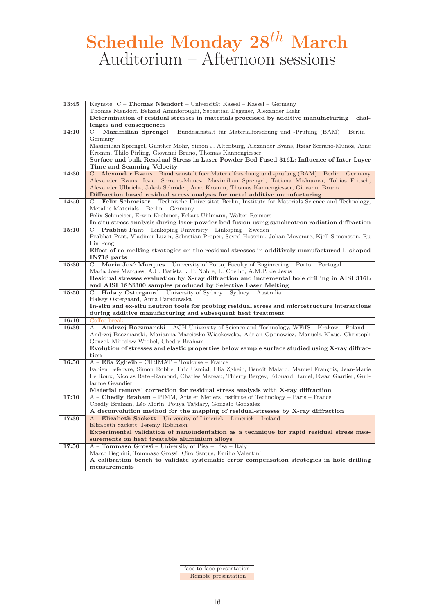# **Schedule Monday 28***th* **March** Auditorium – Afternoon sessions

| 13:45 | Keynote: C - Thomas Niendorf - Universität Kassel - Kassel - Germany                                                                                                    |
|-------|-------------------------------------------------------------------------------------------------------------------------------------------------------------------------|
|       | Thomas Niendorf, Behzad Aminforoughi, Sebastian Degener, Alexander Liehr                                                                                                |
|       | Determination of residual stresses in materials processed by additive manufacturing – chal-                                                                             |
|       | lenges and consequences                                                                                                                                                 |
| 14:10 | C – Maximilian Sprengel – Bundesanstalt für Materialforschung und -Prüfung (BAM) – Berlin –                                                                             |
|       | Germany                                                                                                                                                                 |
|       | Maximilian Sprengel, Gunther Mohr, Simon J. Altenburg, Alexander Evans, Itziar Serrano-Munoz, Arne                                                                      |
|       | Kromm, Thilo Pirling, Giovanni Bruno, Thomas Kannengiesser                                                                                                              |
|       | Surface and bulk Residual Stress in Laser Powder Bed Fused 316L: Influence of Inter Layer                                                                               |
|       | Time and Scanning Velocity                                                                                                                                              |
| 14:30 | C – Alexander Evans – Bundesanstalt fuer Materialforschung und -prüfung (BAM) – Berlin – Germany                                                                        |
|       | Alexander Evans, Itziar Serrano-Munoz, Maximilian Sprengel, Tatiana Mishurova, Tobias Fritsch,                                                                          |
|       | Alexander Ulbricht, Jakob Schröder, Arne Kromm, Thomas Kannengiesser, Giovanni Bruno                                                                                    |
|       | Diffraction based residual stress analysis for metal additive manufacturing                                                                                             |
| 14:50 | $C$ – Felix Schmeiser – Technische Universität Berlin, Institute for Materials Science and Technology,                                                                  |
|       | Metallic Materials - Berlin - Germany                                                                                                                                   |
|       | Felix Schmeiser, Erwin Krohmer, Eckart Uhlmann, Walter Reimers                                                                                                          |
|       |                                                                                                                                                                         |
|       | In situ stress analysis during laser powder bed fusion using synchrotron radiation diffraction<br>$C -$ <b>Prabhat Pant</b> – Linköping University – Linköping – Sweden |
| 15:10 |                                                                                                                                                                         |
|       | Prabhat Pant, Vladimir Luzin, Sebastian Proper, Seyed Hosseini, Johan Moverare, Kjell Simonsson, Ru                                                                     |
|       | Lin Peng                                                                                                                                                                |
|       | Effect of re-melting strategies on the residual stresses in additively manufactured L-shaped                                                                            |
|       | IN718 parts                                                                                                                                                             |
| 15:30 | C – Maria José Marques – University of Porto, Faculty of Engineering – Porto – Portugal                                                                                 |
|       | Maria José Marques, A.C. Batista, J.P. Nobre, L. Coelho, A.M.P. de Jesus                                                                                                |
|       | Residual stresses evaluation by X-ray diffraction and incremental hole drilling in AISI 316L                                                                            |
|       | and AISI 18Ni300 samples produced by Selective Laser Melting                                                                                                            |
| 15:50 | $C$ – <b>Halsey Ostergaard</b> – University of Sydney – Sydney – Australia                                                                                              |
|       | Halsey Ostergaard, Anna Paradowska                                                                                                                                      |
|       | In-situ and ex-situ neutron tools for probing residual stress and microstructure interactions                                                                           |
|       | during additive manufacturing and subsequent heat treatment                                                                                                             |
| 16:10 | Coffee break                                                                                                                                                            |
| 16:30 | A – <b>Andrzej Baczmanski</b> – AGH University of Science and Technology, WFiIS – Krakow – Poland                                                                       |
|       | Andrzej Baczmanski, Marianna Marciszko-Wiackowska, Adrian Oponowicz, Manuela Klaus, Christoph                                                                           |
|       | Genzel, Miroslaw Wrobel, Chedly Braham                                                                                                                                  |
|       | Evolution of stresses and elastic properties below sample surface studied using X-ray diffrac-                                                                          |
|       | tion                                                                                                                                                                    |
| 16:50 | $A$ – Elia Zgheib – CIRIMAT – Toulouse – France                                                                                                                         |
|       | Fabien Lefebvre, Simon Robbe, Eric Usmial, Elia Zgheib, Benoit Malard, Manuel François, Jean-Marie                                                                      |
|       | Le Roux, Nicolas Ratel-Ramond, Charles Mareau, Thierry Bergey, Edouard Daniel, Ewan Gautier, Guil-                                                                      |
|       | laume Geandier                                                                                                                                                          |
|       | Material removal correction for residual stress analysis with X-ray diffraction                                                                                         |
| 17:10 | A – Chedly Braham – PIMM, Arts et Metiers Institute of Technology – Paris – France                                                                                      |
|       | Chedly Braham, Léo Morin, Pouya Tajdary, Gonzalo Gonzalez                                                                                                               |
|       | A deconvolution method for the mapping of residual-stresses by X-ray diffraction                                                                                        |
| 17:30 | $A$ – Elizabeth Sackett – University of Limerick – Limerick – Ireland                                                                                                   |
|       | Elizabeth Sackett, Jeremy Robinson                                                                                                                                      |
|       | Experimental validation of nanoindentation as a technique for rapid residual stress mea-                                                                                |
|       | surements on heat treatable aluminium alloys                                                                                                                            |
| 17:50 | A - Tommaso Grossi - University of Pisa - Pisa - Italy                                                                                                                  |
|       | Marco Beghini, Tommaso Grossi, Ciro Santus, Emilio Valentini                                                                                                            |
|       | A calibration bench to validate systematic error compensation strategies in hole drilling                                                                               |
|       | measurements                                                                                                                                                            |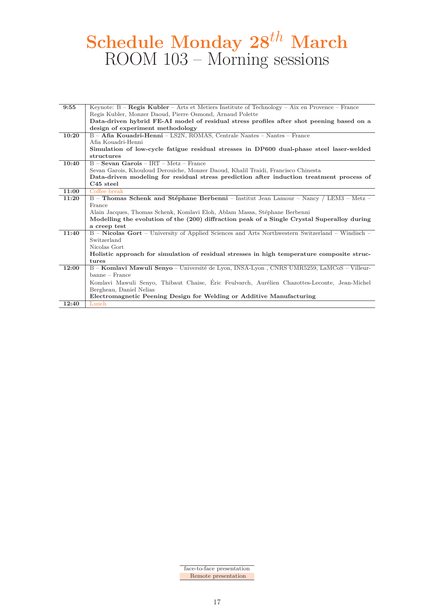# **Schedule Monday 28***th* **March** ROOM 103 – Morning sessions

| 9:55  | Keynote: $B - Regis Kubler - Arts$ et Metiers Institute of Technology - Aix en Provence - France |
|-------|--------------------------------------------------------------------------------------------------|
|       | Regis Kubler, Monzer Daoud, Pierre Osmond, Arnaud Polette                                        |
|       | Data-driven hybrid FE-AI model of residual stress profiles after shot peening based on a         |
|       | design of experiment methodology                                                                 |
| 10:20 | B - Afia Kouadri-Henni - LS2N, ROMAS, Centrale Nantes - Nantes - France                          |
|       | Afia Kouadri-Henni                                                                               |
|       | Simulation of low-cycle fatigue residual stresses in DP600 dual-phase steel laser-welded         |
|       | structures                                                                                       |
| 10:40 | $B -$ <b>Sevan Garois</b> - IRT - Metz - France                                                  |
|       | Sevan Garois, Khouloud Derouiche, Monzer Daoud, Khalil Traidi, Francisco Chinesta                |
|       | Data-driven modeling for residual stress prediction after induction treatment process of         |
|       | $C45$ steel                                                                                      |
| 11:00 | Coffee break                                                                                     |
| 11:20 | B - Thomas Schenk and Stéphane Berbenni - Institut Jean Lamour - Nancy / LEM3 - Metz -           |
|       | France                                                                                           |
|       | Alain Jacques, Thomas Schenk, Komlavi Eloh, Ablam Massa, Stéphane Berbenni                       |
|       | Modelling the evolution of the (200) diffraction peak of a Single Crystal Superalloy during      |
|       | a creep test                                                                                     |
| 11:40 | B - Nicolas Gort - University of Applied Sciences and Arts Northwestern Switzerland - Windisch - |
|       | Switzerland                                                                                      |
|       | Nicolas Gort                                                                                     |
|       | Holistic approach for simulation of residual stresses in high temperature composite struc-       |
|       | tures                                                                                            |
| 12:00 | B - Komlavi Mawuli Senyo - Université de Lyon, INSA-Lyon, CNRS UMR5259, LaMCoS - Villeur-        |
|       | banne – France                                                                                   |
|       | Komlavi Mawuli Senyo, Thibaut Chaise, Éric Feulvarch, Aurélien Chazottes-Leconte, Jean-Michel    |
|       | Bergheau, Daniel Nelias                                                                          |
|       | Electromagnetic Peening Design for Welding or Additive Manufacturing                             |
| 12:40 | Lunch                                                                                            |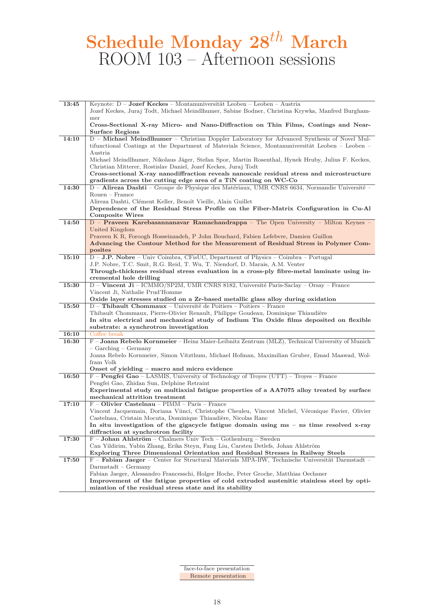# **Schedule Monday 28***th* **March** ROOM 103 – Afternoon sessions

| 13:45 | Keynote: $D -$ <b>Jozef Keckes</b> – Montanuniversität Leoben – Leoben – Austria                                                                                           |
|-------|----------------------------------------------------------------------------------------------------------------------------------------------------------------------------|
|       | Jozef Keckes, Juraj Todt, Michael Meindlhumer, Sabine Bodner, Christina Krywka, Manfred Burgham-                                                                           |
|       | mer                                                                                                                                                                        |
|       | Cross-Sectional X-ray Micro- and Nano-Diffraction on Thin Films, Coatings and Near-                                                                                        |
|       | <b>Surface Regions</b>                                                                                                                                                     |
| 14:10 | D - Michael Meindlhumer - Christian Doppler Laboratory for Advanced Synthesis of Novel Mul-                                                                                |
|       | tifunctional Coatings at the Department of Materials Science, Montanuniversität Leoben – Leoben –                                                                          |
|       | Austria                                                                                                                                                                    |
|       | Michael Meindlhumer, Nikolaus Jäger, Stefan Spor, Martin Rosenthal, Hynek Hruby, Julius F. Keckes,                                                                         |
|       | Christian Mitterer, Rostislav Daniel, Jozef Keckes, Juraj Todt                                                                                                             |
|       | Cross-sectional X-ray nanodiffraction reveals nanoscale residual stress and microstructure                                                                                 |
|       | gradients across the cutting edge area of a TiN coating on WC-Co                                                                                                           |
| 14:30 | D - Alireza Dashti - Groupe de Physique des Matériaux, UMR CNRS 6634, Normandie Université -                                                                               |
|       | $\label{eq:Rouen} \text{Rouen}-\text{Frame}$                                                                                                                               |
|       | Alireza Dashti, Clément Keller, Benoît Vieille, Alain Guillet                                                                                                              |
|       | Dependence of the Residual Stress Profile on the Fiber-Matrix Configuration in Cu-Al                                                                                       |
|       | Composite Wires                                                                                                                                                            |
| 14:50 | D - Praveen Karebasannanavar Ramachandrappa - The Open University - Milton Keynes -                                                                                        |
|       | United Kingdom                                                                                                                                                             |
|       | Praveen K R, Foroogh Hosseinzadeh, P John Bouchard, Fabien Lefebvre, Damien Guillon<br>Advancing the Contour Method for the Measurement of Residual Stress in Polymer Com- |
|       | posites                                                                                                                                                                    |
| 15:10 | D - J.P. Nobre - Univ Coimbra, CFisUC, Department of Physics - Coimbra - Portugal                                                                                          |
|       | J.P. Nobre, T.C. Smit, R.G. Reid, T. Wu, T. Niendorf, D. Marais, A.M. Venter                                                                                               |
|       | Through-thickness residual stress evaluation in a cross-ply fibre-metal laminate using in-                                                                                 |
|       | cremental hole drilling                                                                                                                                                    |
| 15:30 | D – Vincent Ji – ICMMO/SP2M, UMR CNRS 8182, Université Paris-Saclay – Orsay – France                                                                                       |
|       | Vincent Ji, Nathalie Prud'Homme                                                                                                                                            |
|       | Oxide layer stresses studied on a Zr-based metallic glass alloy during oxidation                                                                                           |
| 15:50 | D - Thibault Chommaux - Université de Poitiers - Poitiers - France                                                                                                         |
|       | Thibault Chommaux, Pierre-Olivier Renault, Philippe Goudeau, Dominique Thiaudière                                                                                          |
|       | In situ electrical and mechanical study of Indium Tin Oxide films deposited on flexible                                                                                    |
|       | substrate: a synchrotron investigation                                                                                                                                     |
| 16:10 | Coffee break                                                                                                                                                               |
| 16:30 | F - Joana Rebelo Kornmeier - Heinz Maier-Leibnitz Zentrum (MLZ), Technical University of Munich                                                                            |
|       | - Garching - Germany                                                                                                                                                       |
|       | Joana Rebelo Kornmeier, Simon Vitzthum, Michael Hofman, Maximilian Gruber, Emad Maawad, Wol-                                                                               |
|       | fram Volk                                                                                                                                                                  |
| 16:50 | Onset of yielding – macro and micro evidence<br>F – Pengfei Gao – LASMIS, University of Technology of Troyes (UTT) – Troyes – France                                       |
|       | Pengfei Gao, Zhidan Sun, Delphine Retraint                                                                                                                                 |
|       | Experimental study on multiaxial fatigue properties of a AA7075 alloy treated by surface                                                                                   |
|       | mechanical attrition treatment                                                                                                                                             |
| 17:10 | F – Olivier Castelnau – PIMM – Paris – France                                                                                                                              |
|       | Vincent Jacquemain, Doriana Viinci, Christophe Cheuleu, Vincent Michel, Véronique Favier, Olivier                                                                          |
|       | Castelnau, Cristain Mocuta, Dominique Thiaudière, Nicolas Ranc                                                                                                             |
|       | In situ investigation of the gigacycle fatigue domain using $ms - ns$ time resolved x-ray                                                                                  |
|       | diffraction at synchrotron facility                                                                                                                                        |
| 17:30 | $F - John Ahlström - Chalmers Univ Tech - Gothenburg - Sweden$                                                                                                             |
|       | Can Yildirim, Yubin Zhang, Erika Steyn, Fang Liu, Carsten Detlefs, Johan Ahlström                                                                                          |
|       | Exploring Three Dimensional Orientation and Residual Stresses in Railway Steels                                                                                            |
| 17:50 | F - Fabian Jaeger - Center for Structural Materials MPA-IfW, Technische Universität Darmstadt -                                                                            |
|       | $Darmstadt - Germany$                                                                                                                                                      |
|       | Fabian Jaeger, Alessandro Francesschi, Holger Hoche, Peter Groche, Matthias Oechsner                                                                                       |
|       | Improvement of the fatigue properties of cold extruded austenitic stainless steel by opti-                                                                                 |
|       | mization of the residual stress state and its stability                                                                                                                    |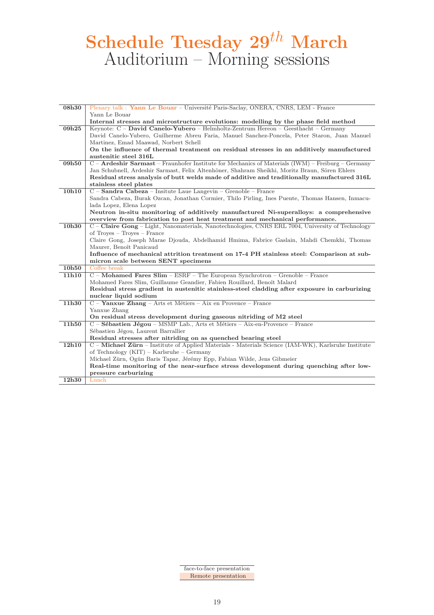# **Schedule Tuesday 29***th* **March** Auditorium – Morning sessions

| 08h30 | Plenary talk: Yann Le Bouar - Université Paris-Saclay, ONERA, CNRS, LEM - France                    |
|-------|-----------------------------------------------------------------------------------------------------|
|       | Yann Le Bouar                                                                                       |
|       | Internal stresses and microstructure evolutions: modelling by the phase field method                |
| 09h25 | Keynote: C - David Canelo-Yubero - Helmholtz-Zentrum Hereon - Geesthacht - Germany                  |
|       | David Canelo-Yubero, Guilherme Abreu Faria, Manuel Sanchez-Poncela, Peter Staron, Juan Manuel       |
|       | Martinez, Emad Maawad, Norbert Schell                                                               |
|       | On the influence of thermal treatment on residual stresses in an additively manufactured            |
|       | austenitic steel 316L                                                                               |
| 09h50 | C - Ardeshir Sarmast - Fraunhofer Institute for Mechanics of Materials (IWM) - Freiburg - Germany   |
|       | Jan Schubnell, Ardeshir Sarmast, Felix Altenhöner, Shahram Sheikhi, Moritz Braun, Sören Ehlers      |
|       | Residual stress analysis of butt welds made of additive and traditionally manufactured 316L         |
|       | stainless steel plates                                                                              |
| 10h10 | $C -$ <b>Sandra Cabeza</b> – Insitute Laue Langevin – Grenoble – France                             |
|       | Sandra Cabeza, Burak Ozcan, Jonathan Cormier, Thilo Pirling, Ines Puente, Thomas Hansen, Inmacu-    |
|       | lada Lopez, Elena Lopez                                                                             |
|       | Neutron in-situ monitoring of additively manufactured Ni-superalloys: a comprehensive               |
|       | overview from fabrication to post heat treatment and mechanical performance.                        |
| 10h30 | C – Claire Gong – Light, Nanomaterials, Nanotechnologies, CNRS ERL 7004, University of Technology   |
|       | of $Troves - Troves - France$                                                                       |
|       | Claire Gong, Joseph Marae Djouda, Abdelhamid Hmima, Fabrice Gaslain, Mahdi Chemkhi, Thomas          |
|       | Maurer, Benoît Panicaud                                                                             |
|       | Influence of mechanical attrition treatment on 17-4 PH stainless steel: Comparison at sub-          |
|       | micron scale between SENT specimens                                                                 |
| 10h50 | Coffee break                                                                                        |
| 11h10 | $C$ – Mohamed Fares Slim – ESRF – The European Synchrotron – Grenoble – France                      |
|       | Mohamed Fares Slim, Guillaume Geandier, Fabien Rouillard, Benoît Malard                             |
|       | Residual stress gradient in austenitic stainless-steel cladding after exposure in carburizing       |
|       | nuclear liquid sodium                                                                               |
| 11h30 | C - Yanxue Zhang - Arts et Métiers - Aix en Provence - France                                       |
|       | Yanxue Zhang                                                                                        |
|       | On residual stress development during gaseous nitriding of M2 steel                                 |
| 11h50 | C – Sébastien Jégou – MSMP Lab., Arts et Métiers – Aix-en-Provence – France                         |
|       | Sébastien Jégou, Laurent Barrallier                                                                 |
|       | Residual stresses after nitriding on as quenched bearing steel                                      |
| 12h10 | C - Michael Zürn - Institute of Applied Materials - Materials Science (IAM-WK), Karlsruhe Institute |
|       | of Technology $(KIT)$ – Karlsruhe – Germany                                                         |
|       | Michael Zürn, Ogün Baris Tapar, Jérémy Epp, Fabian Wilde, Jens Gibmeier                             |
|       | Real-time monitoring of the near-surface stress development during quenching after low-             |
| 12h30 | pressure carburizing<br>Lunch                                                                       |
|       |                                                                                                     |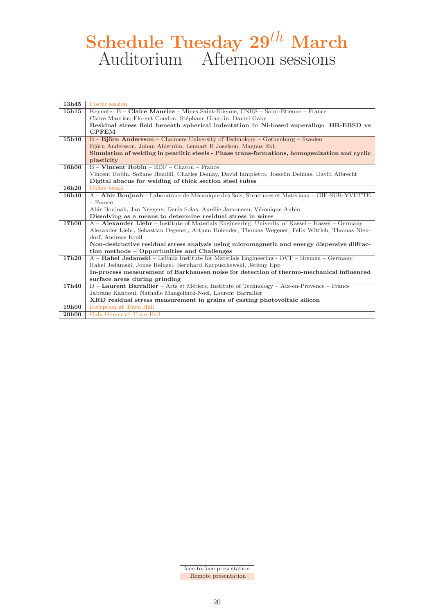# **Schedule Tuesday 29***th* **March** Auditorium – Afternoon sessions

| 13h45              | Poster session                                                                                        |
|--------------------|-------------------------------------------------------------------------------------------------------|
| 15h15              | Keynote: B – Claire Maurice – Mines Saint-Etienne, CNRS – Saint-Etienne – France                      |
|                    | Claire Maurice, Florent Coudon, Stéphane Gourdin, Daniel Gaky                                         |
|                    | Residual stress field beneath spherical indentation in Ni-based superalloy: HR-EBSD vs                |
|                    | <b>CPFEM</b>                                                                                          |
| 15h40              | B - Björn Andersson - Chalmers University of Technology - Gothenburg - Sweden                         |
|                    | Björn Andersson, Johan Ahlström, Lennart B Josefson, Magnus Ekh                                       |
|                    | Simulation of welding in pearlitic steels - Phase trans-formations, homogenization and cyclic         |
|                    | plasticity                                                                                            |
| 16h00              | $B -$ Vincent Robin – EDF – Chatou – France                                                           |
|                    | Vincent Robin, Sofiane Hendili, Charles Demay, David Iampietro, Josselin Delmas, David Albrecht       |
|                    | Digital abacus for welding of thick section steel tubes                                               |
| 16h20              | Coffee break                                                                                          |
| 16h40              | A - Abir Boujnah - Laboratoire de Mécanique des Sols, Structures et Matériaux - GIF-SUR-YVETTE        |
|                    | $-$ France                                                                                            |
|                    | Abir Boujnah, Jan Neggers, Denis Solas, Aurélie Jamoneau, Véronique Aubin                             |
|                    | Dissolving as a means to determine residual stress in wires                                           |
| <b>17h00</b>       | A - Alexander Liehr - Institute of Materials Engineering, Univerty of Kassel - Kassel - Germany       |
|                    | Alexander Liehr, Sebastian Degener, Artjom Bolender, Thomas Wegener, Felix Wittich, Thomas Nien-      |
|                    | dorf, Andreas Kroll                                                                                   |
|                    | Non-destructive residual stress analysis using micromagnetic and energy dispersive diffrac-           |
|                    | tion methods – Opportunities and Challenges                                                           |
| 17h20              | A - Rahel Jedamski - Leibniz Institute for Materials Engineering - IWT - Bremen - Germany             |
|                    | Rahel Jedamski, Jonas Heinzel, Bernhard Karpuschewski, Jérémy Epp                                     |
|                    | In-process measurement of Barkhausen noise for detection of thermo-mechanical influenced              |
|                    | surface areas during grinding                                                                         |
| 17h40              | $D -$ <b>Laurent Barrallier</b> – Arts et Métiers, Institute of Technology – Aix-en-Provence – France |
|                    | Jabrane Kanboui, Nathalie Mangelinck-Noël, Laurent Barrallier                                         |
|                    | XRD residual stress measurement in grains of casting photovoltaic silicon                             |
| 19h00              | Reception at Town Hall                                                                                |
| $\overline{20h00}$ | Gala Dinner at Town Hall                                                                              |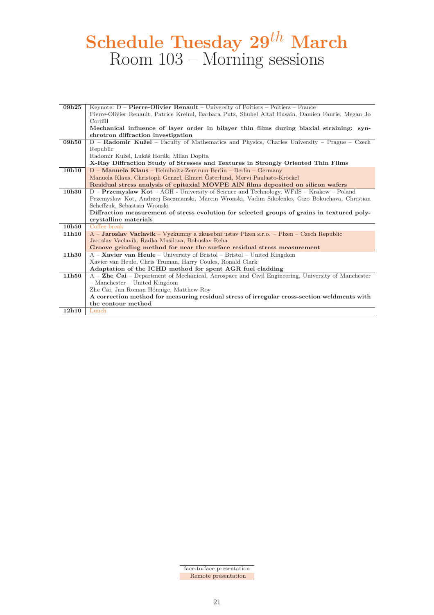# **Schedule Tuesday 29***th* **March** Room 103 – Morning sessions

| 09h25 | Keynote: $D -$ <b>Pierre-Olivier Renault</b> – University of Poitiers – Poitiers – France          |
|-------|----------------------------------------------------------------------------------------------------|
|       | Pierre-Olivier Renault, Patrice Kreiml, Barbara Putz, Shuhel Altaf Husain, Damien Faurie, Megan Jo |
|       | Cordill                                                                                            |
|       | Mechanical influence of layer order in bilayer thin films during biaxial straining: syn-           |
|       | chrotron diffraction investigation                                                                 |
| 09h50 | D - Radomir Kužel - Faculty of Mathematics and Physics, Charles University - Prague - Czech        |
|       | Republic                                                                                           |
|       | Radomir Kužel, Lukáš Horák, Milan Dopita                                                           |
|       | X-Ray Diffraction Study of Stresses and Textures in Strongly Oriented Thin Films                   |
| 10h10 | $D -$ Manuela Klaus – Helmholtz-Zentrum Berlin – Berlin – Germany                                  |
|       | Manuela Klaus, Christoph Genzel, Elmeri Österlund, Mervi Paulasto-Kröckel                          |
|       | Residual stress analysis of epitaxial MOVPE AIN films deposited on silicon wafers                  |
| 10h30 | $D -$ <b>Przemyslaw Kot</b> – AGH - University of Science and Technology, WFiIS – Krakow – Poland  |
|       | Przemyslaw Kot, Andrzej Baczmanski, Marcin Wronski, Vadim Sikolenko, Gizo Bokuchava, Christian     |
|       | Scheffzuk, Sebastian Wronski                                                                       |
|       | Diffraction measurement of stress evolution for selected groups of grains in textured poly-        |
|       | crystalline materials                                                                              |
| 10h50 | Coffee break                                                                                       |
| 11h10 | A – Jaroslav Vaclavik – Vyzkumny a zkusebni ustav Plzen s.r.o. – Plzen – Czech Republic            |
|       | Jaroslav Vaclavik, Radka Musilova, Bohuslav Reha                                                   |
|       | Groove grinding method for near the surface residual stress measurement                            |
| 11h30 | $A -$ <b>Xavier van Heule</b> – University of Bristol – Bristol – United Kingdom                   |
|       | Xavier van Heule, Chris Truman, Harry Coules, Ronald Clark                                         |
|       | Adaptation of the ICHD method for spent AGR fuel cladding                                          |
| 11h50 | A – Zhe Cai – Department of Mechanical, Aerospace and Civil Engineering, University of Manchester  |
|       | $-$ Manchester $-$ United Kingdom                                                                  |
|       | Zhe Cai, Jan Roman Hönnige, Matthew Roy                                                            |
|       | A correction method for measuring residual stress of irregular cross-section weldments with        |
|       | the contour method                                                                                 |
| 12h10 | Lunch                                                                                              |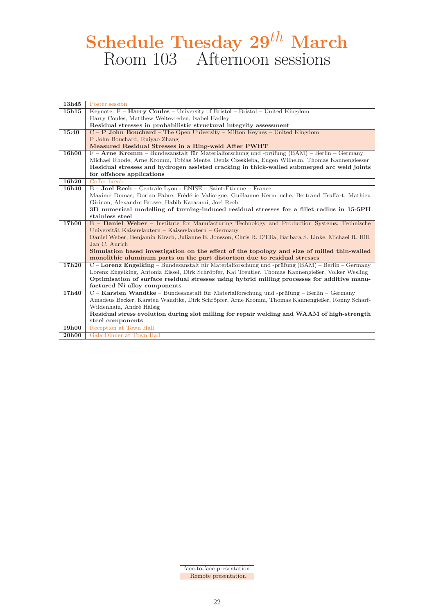# **Schedule Tuesday 29***th* **March** Room 103 – Afternoon sessions

| 13h45             | Poster session                                                                                          |
|-------------------|---------------------------------------------------------------------------------------------------------|
| 15h15             | Keynote: $F -$ <b>Harry Coules</b> – University of Bristol – Bristol – United Kingdom                   |
|                   | Harry Coules, Matthew Weltevreden, Isabel Hadley                                                        |
|                   | Residual stresses in probabilistic structural integrity assessment                                      |
| 15:40             | $C - P$ John Bouchard – The Open University – Milton Keynes – United Kingdom                            |
|                   | P John Bouchard, Ruiyao Zhang                                                                           |
|                   | Measured Residual Stresses in a Ring-weld After PWHT                                                    |
| <b>16h00</b>      | $F -$ Arne Kromm – Bundesanstalt für Materialforschung und -prüfung (BAM) – Berlin – Germany            |
|                   | Michael Rhode, Arne Kromm, Tobias Mente, Denis Czeskleba, Eugen Wilhelm, Thomas Kannengiesser           |
|                   | Residual stresses and hydrogen assisted cracking in thick-walled submerged arc weld joints              |
|                   | for offshore applications                                                                               |
| 16h <sub>20</sub> | Coffee break                                                                                            |
| 16h40             | B - Joel Rech - Centrale Lyon - ENISE - Saint-Etienne - France                                          |
|                   | Maxime Dumas, Dorian Fabre, Frédéric Valiorgue, Guillaume Kermouche, Bertrand Truffart, Mathieu         |
|                   | Girinon, Alexandre Brosse, Habib Karaouni, Joel Rech                                                    |
|                   | 3D numerical modelling of turning-induced residual stresses for a fillet radius in 15-5PH               |
|                   | stainless steel                                                                                         |
| 17h00             | B - Daniel Weber - Institute for Manufacturing Technology and Production Systems, Technische            |
|                   | Universität Kaiserslautern – Kaiserslautern – Germany                                                   |
|                   | Daniel Weber, Benjamin Kirsch, Julianne E. Jonsson, Chris R. D'Elia, Barbara S. Linke, Michael R. Hill, |
|                   | Jan C. Aurich                                                                                           |
|                   | Simulation based investigation on the effect of the topology and size of milled thin-walled             |
|                   | monolithic aluminum parts on the part distortion due to residual stresses                               |
| 17h20             | $C$ – Lorenz Engelking – Bundesanstalt für Materialforschung und -prüfung (BAM) – Berlin – Germany      |
|                   | Lorenz Engelking, Antonia Eissel, Dirk Schröpfer, Kai Treutler, Thomas Kannengießer, Volker Wesling     |
|                   | Optimisation of surface residual stresses using hybrid milling processes for additive manu-             |
|                   | factured Ni alloy components                                                                            |
| 17h40             | C – Karsten Wandtke – Bundesanstalt für Materialforschung und -prüfung – Berlin – Germany               |
|                   | Amadeus Becker, Karsten Wandtke, Dirk Schröpfer, Arne Kromm, Thomas Kannengießer, Ronny Scharf-         |
|                   | Wildenhain, André Hälsig                                                                                |
|                   | Residual stress evolution during slot milling for repair welding and WAAM of high-strength              |
|                   | steel components                                                                                        |
| 19h00             | Reception at Town Hall                                                                                  |
| 20h00             | Gala Dinner at Town Hall                                                                                |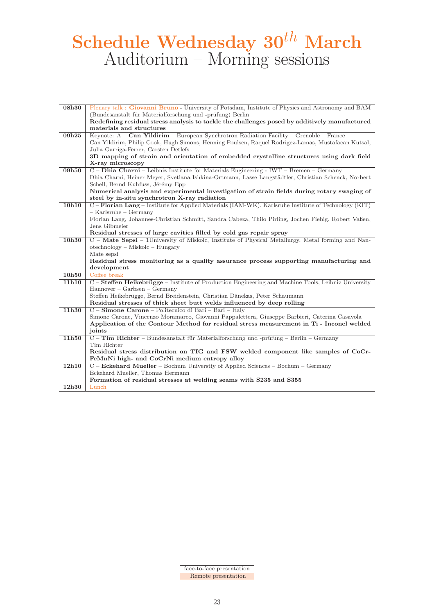# **Schedule Wednesday 30***th* **March** Auditorium – Morning sessions

| 08h30 | Plenary talk: Giovanni Bruno - University of Potsdam, Institute of Physics and Astronomy and BAM      |
|-------|-------------------------------------------------------------------------------------------------------|
|       | (Bundesanstalt für Materialforschung und -prüfung) Berlin                                             |
|       | Redefining residual stress analysis to tackle the challenges posed by additively manufactured         |
|       | materials and structures                                                                              |
| 09h25 | Keynote: A - Can Yildirim - European Synchrotron Radiation Facility - Grenoble - France               |
|       | Can Yildirim, Philip Cook, Hugh Simons, Henning Poulsen, Raquel Rodrigez-Lamas, Mustafacan Kutsal,    |
|       | Julia Garriga-Ferrer, Carsten Detlefs                                                                 |
|       | 3D mapping of strain and orientation of embedded crystalline structures using dark field              |
|       | X-ray microscopy                                                                                      |
| 09h50 | C - Dhia Charni - Leibniz Institute for Materials Engineering - IWT - Bremen - Germany                |
|       | Dhia Charni, Heiner Meyer, Svetlana Ishkina-Ortmann, Lasse Langstädtler, Christian Schenck, Norbert   |
|       | Schell, Bernd Kuhfuss, Jérémy Epp                                                                     |
|       | Numerical analysis and experimental investigation of strain fields during rotary swaging of           |
|       | steel by in-situ synchrotron X-ray radiation                                                          |
| 10h10 | C – Florian Lang – Institute for Applied Materials (IAM-WK), Karlsruhe Institute of Technology (KIT)  |
|       | $-$ Karlsruhe $-$ Germany                                                                             |
|       | Florian Lang, Johannes-Christian Schmitt, Sandra Cabeza, Thilo Pirling, Jochen Fiebig, Robert Vaßen,  |
|       | Jens Gibmeier                                                                                         |
|       | Residual stresses of large cavities filled by cold gas repair spray                                   |
| 10h30 | C - Mate Sepsi - 1University of Miskolc, Institute of Physical Metallurgy, Metal forming and Nan-     |
|       | $otechnology - Miskolc - Hungary$                                                                     |
|       | Mate sepsi                                                                                            |
|       | Residual stress monitoring as a quality assurance process supporting manufacturing and<br>development |
| 10h50 | Coffee break                                                                                          |
| 11h10 | C - Steffen Heikebrügge - Institute of Production Engineering and Machine Tools, Leibniz University   |
|       | $Hannover - Garbsen - Germany$                                                                        |
|       | Steffen Heikebrügge, Bernd Breidenstein, Christian Dänekas, Peter Schaumann                           |
|       | Residual stresses of thick sheet butt welds influenced by deep rolling                                |
| 11h30 | C - Simone Carone - Politecnico di Bari - Bari - Italy                                                |
|       | Simone Carone, Vincenzo Moramarco, Giovanni Pappalettera, Giuseppe Barbieri, Caterina Casavola        |
|       | Application of the Contour Method for residual stress measurement in Ti - Inconel welded              |
|       | joints                                                                                                |
| 11h50 | C - Tim Richter - Bundesanstalt für Materialforschung und -prüfung - Berlin - Germany                 |
|       | Tim Richter                                                                                           |
|       | Residual stress distribution on TIG and FSW welded component like samples of CoCr-                    |
|       | FeMnNi high- and CoCrNi medium entropy alloy                                                          |
| 12h10 | C – Eckehard Mueller – Bochum Universtiy of Applied Sciences – Bochum – Germany                       |
|       | Eckehard Mueller, Thomas Hermann                                                                      |
|       | Formation of residual stresses at welding seams with S235 and S355                                    |
| 12h30 | Lunch                                                                                                 |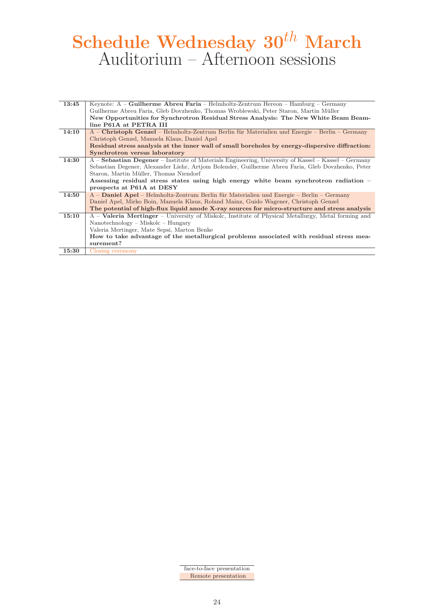# **Schedule Wednesday 30***th* **March** Auditorium – Afternoon sessions

| 13:45 | Keynote: $A -$ <b>Guilherme Abreu Faria</b> – Helmholtz-Zentrum Hereon – Hamburg – Germany                |
|-------|-----------------------------------------------------------------------------------------------------------|
|       | Guilherme Abreu Faria, Gleb Dovzhenko, Thomas Wroblewski, Peter Staron, Martin Müller                     |
|       | New Opportunities for Synchrotron Residual Stress Analysis: The New White Beam Beam-                      |
|       | line P61A at PETRA III                                                                                    |
| 14:10 | A – Christoph Genzel – Helmholtz-Zentrum Berlin für Materialien und Energie – Berlin – Germany            |
|       | Christoph Genzel, Manuela Klaus, Daniel Apel                                                              |
|       | Residual stress analysis at the inner wall of small boreholes by energy-dispersive diffraction:           |
|       | Synchrotron versus laboratory                                                                             |
| 14:30 | A – Sebastian Degener – Institute of Materials Engineering, University of Kassel – Kassel – Germany       |
|       | Sebastian Degener, Alexander Liehr, Artjom Bolender, Guilherme Abreu Faria, Gleb Dovzhenko, Peter         |
|       | Staron, Martin Müller, Thomas Niendorf                                                                    |
|       | Assessing residual stress states using high energy white beam synchrotron radiation $-$                   |
|       | prospects at P61A at DESY                                                                                 |
| 14:50 | A - Daniel Apel - Helmholtz-Zentrum Berlin für Materialien und Energie - Berlin - Germany                 |
|       | Daniel Apel, Mirko Boin, Manuela Klaus, Roland Mainz, Guido Wagener, Christoph Genzel                     |
|       | The potential of high-flux liquid anode X-ray sources for micro-structure and stress analysis             |
| 15:10 | A – <b>Valeria Mertinger</b> – University of Miskolc, Institute of Physical Metallurgy, Metal forming and |
|       | $Nanotechnology - Miskolc - Hungary$                                                                      |
|       | Valeria Mertinger, Mate Sepsi, Marton Benke                                                               |
|       | How to take advantage of the metallurgical problems associated with residual stress mea-                  |
|       | surement?                                                                                                 |
| 15:30 | Closing ceremony                                                                                          |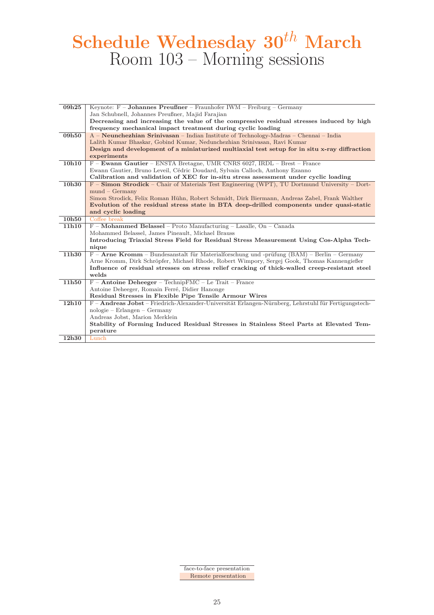# **Schedule Wednesday 30***th* **March** Room 103 – Morning sessions

| 09h25 | Keynote: $F - Johnson Preußner - Fraunhofer IWM - Freiburg - Germany$                                   |
|-------|---------------------------------------------------------------------------------------------------------|
|       | Jan Schubnell, Johannes Preußner, Majid Farajian                                                        |
|       | Decreasing and increasing the value of the compressive residual stresses induced by high                |
|       | frequency mechanical impact treatment during cyclic loading                                             |
| 09h50 | A – Neunchezhian Srinivasan – Indian Institute of Technology-Madras – Chennai – India                   |
|       | Lalith Kumar Bhaskar, Gobind Kumar, Nedunchezhian Srinivasan, Ravi Kumar                                |
|       | Design and development of a miniaturized multiaxial test setup for in situ x-ray diffraction            |
|       | experiments                                                                                             |
| 10h10 | F - Ewann Gautier - ENSTA Bretagne, UMR CNRS 6027, IRDL - Brest - France                                |
|       | Ewann Gautier, Bruno Leveil, Cédric Doudard, Sylvain Calloch, Anthony Ezanno                            |
|       | Calibration and validation of XEC for in-situ stress assessment under cyclic loading                    |
| 10h30 | $F -$ <b>Simon Strodick</b> – Chair of Materials Test Engineering (WPT), TU Dortmund University – Dort- |
|       | $mund - Germany$                                                                                        |
|       | Simon Strodick, Felix Roman Hühn, Robert Schmidt, Dirk Biermann, Andreas Zabel, Frank Walther           |
|       | Evolution of the residual stress state in BTA deep-drilled components under quasi-static                |
|       | and cyclic loading                                                                                      |
| 10h50 | Coffee break                                                                                            |
| 11h10 | $F$ – Mohammed Belassel – Proto Manufacturing – Lasalle, On – Canada                                    |
|       | Mohammed Belassel, James Pineault, Michael Brauss                                                       |
|       | Introducing Triaxial Stress Field for Residual Stress Measurement Using Cos-Alpha Tech-                 |
|       | nique                                                                                                   |
| 11h30 | $F -$ Arne Kromm – Bundesanstalt für Materialforschung und -prüfung (BAM) – Berlin – Germany            |
|       | Arne Kromm, Dirk Schröpfer, Michael Rhode, Robert Wimpory, Sergej Gook, Thomas Kannengießer             |
|       | Influence of residual stresses on stress relief cracking of thick-walled creep-resistant steel          |
|       | welds                                                                                                   |
| 11h50 | $F -$ Antoine Deheeger – Technip $FMC -$ Le Trait – France                                              |
|       | Antoine Deheeger, Romain Ferré, Didier Hanonge                                                          |
|       | Residual Stresses in Flexible Pipe Tensile Armour Wires                                                 |
| 12h10 | F - Andreas Jobst - Friedrich-Alexander-Universität Erlangen-Nürnberg, Lehrstuhl für Fertigungstech-    |
|       | $nologue - Erlangen - Germany$                                                                          |
|       | Andreas Jobst, Marion Merklein                                                                          |
|       | Stability of Forming Induced Residual Stresses in Stainless Steel Parts at Elevated Tem-                |
|       | perature                                                                                                |
| 12h30 | Lunch                                                                                                   |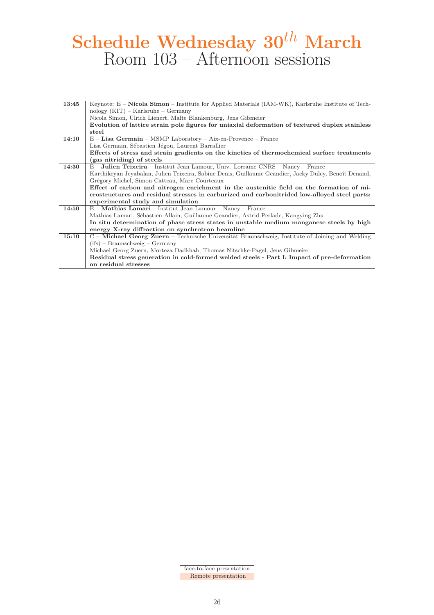# **Schedule Wednesday 30***th* **March** Room 103 – Afternoon sessions

| 13:45 | Keynote: $E -$ <b>Nicola Simon</b> – Institute for Applied Materials (IAM-WK), Karlsruhe Institute of Tech- |
|-------|-------------------------------------------------------------------------------------------------------------|
|       | $nology (KIT) - Karlsruhe - Germany$                                                                        |
|       | Nicola Simon, Ulrich Lienert, Malte Blankenburg, Jens Gibmeier                                              |
|       | Evolution of lattice strain pole figures for uniaxial deformation of textured duplex stainless              |
|       | steel                                                                                                       |
| 14:10 | $E$ – Lisa Germain – MSMP Laboratory – Aix-en-Provence – France                                             |
|       | Lisa Germain, Sébastien Jégou, Laurent Barrallier                                                           |
|       | Effects of stress and strain gradients on the kinetics of thermochemical surface treatments                 |
|       | (gas nitriding) of steels                                                                                   |
| 14:30 | $E$ – <b>Julien Teixeira</b> – Institut Jean Lamour, Univ. Lorraine CNRS – Nancy – France                   |
|       | Karthikeyan Jeyabalan, Julien Teixeira, Sabine Denis, Guillaume Geandier, Jacky Dulcy, Benoît Denand,       |
|       | Grégory Michel, Simon Catteau, Marc Courteaux                                                               |
|       | Effect of carbon and nitrogen enrichment in the austenitic field on the formation of mi-                    |
|       | crostructures and residual stresses in carburized and carbonitrided low-alloyed steel parts:                |
|       | experimental study and simulation                                                                           |
| 14:50 | $E$ – <b>Mathias Lamari</b> – Institut Jean Lamour – Nancy – France                                         |
|       | Mathias Lamari, Sébastien Allain, Guillaume Geandier, Astrid Perlade, Kangying Zhu                          |
|       | In situ determination of phase stress states in unstable medium manganese steels by high                    |
|       | energy X-ray diffraction on synchrotron beamline                                                            |
| 15:10 | C – Michael Georg Zuern – Technische Universität Braunschweig, Institute of Joining and Welding             |
|       | $(ifs)$ – Braunschweig – Germany                                                                            |
|       | Michael Georg Zuern, Morteza Dadkhah, Thomas Nitschke-Pagel, Jens Gibmeier                                  |
|       | Residual stress generation in cold-formed welded steels - Part I: Impact of pre-deformation                 |
|       | on residual stresses                                                                                        |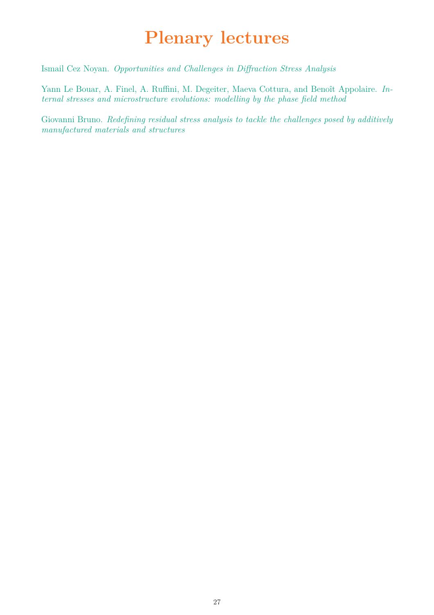# **Plenary lectures**

Ismail Cez Noyan. *Opportunities and Challenges in Diffraction Stress Analysis*

Yann Le Bouar, A. Finel, A. Ruffini, M. Degeiter, Maeva Cottura, and Benoît Appolaire. *Internal stresses and microstructure evolutions: modelling by the phase field method*

Giovanni Bruno. *Redefining residual stress analysis to tackle the challenges posed by additively manufactured materials and structures*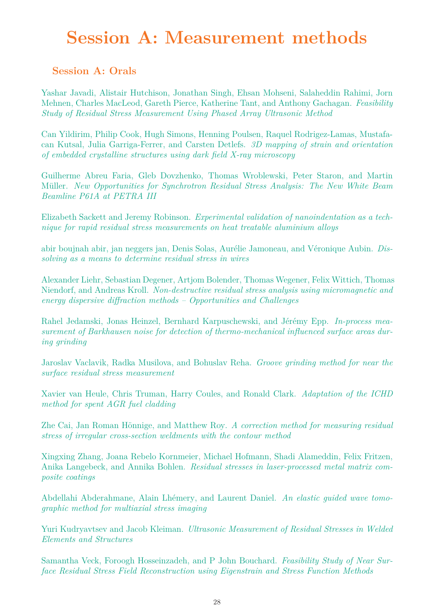# **Session A: Measurement methods**

### **Session A: Orals**

Yashar Javadi, Alistair Hutchison, Jonathan Singh, Ehsan Mohseni, Salaheddin Rahimi, Jorn Mehnen, Charles MacLeod, Gareth Pierce, Katherine Tant, and Anthony Gachagan. *Feasibility Study of Residual Stress Measurement Using Phased Array Ultrasonic Method*

Can Yildirim, Philip Cook, Hugh Simons, Henning Poulsen, Raquel Rodrigez-Lamas, Mustafacan Kutsal, Julia Garriga-Ferrer, and Carsten Detlefs. *3D mapping of strain and orientation of embedded crystalline structures using dark field X-ray microscopy*

Guilherme Abreu Faria, Gleb Dovzhenko, Thomas Wroblewski, Peter Staron, and Martin M¨uller. *New Opportunities for Synchrotron Residual Stress Analysis: The New White Beam Beamline P61A at PETRA III*

Elizabeth Sackett and Jeremy Robinson. *Experimental validation of nanoindentation as a technique for rapid residual stress measurements on heat treatable aluminium alloys*

abir boujnah abir, jan neggers jan, Denis Solas, Aurélie Jamoneau, and Véronique Aubin. *Dissolving as a means to determine residual stress in wires*

Alexander Liehr, Sebastian Degener, Artjom Bolender, Thomas Wegener, Felix Wittich, Thomas Niendorf, and Andreas Kroll. *Non-destructive residual stress analysis using micromagnetic and energy dispersive diffraction methods – Opportunities and Challenges*

Rahel Jedamski, Jonas Heinzel, Bernhard Karpuschewski, and Jérémy Epp. *In-process measurement of Barkhausen noise for detection of thermo-mechanical influenced surface areas during grinding*

Jaroslav Vaclavik, Radka Musilova, and Bohuslav Reha. *Groove grinding method for near the surface residual stress measurement*

Xavier van Heule, Chris Truman, Harry Coules, and Ronald Clark. *Adaptation of the ICHD method for spent AGR fuel cladding*

Zhe Cai, Jan Roman Hönnige, and Matthew Roy. *A correction method for measuring residual stress of irregular cross-section weldments with the contour method*

Xingxing Zhang, Joana Rebelo Kornmeier, Michael Hofmann, Shadi Alameddin, Felix Fritzen, Anika Langebeck, and Annika Bohlen. *Residual stresses in laser-processed metal matrix composite coatings*

Abdellahi Abderahmane, Alain Lhémery, and Laurent Daniel. *An elastic guided wave tomographic method for multiaxial stress imaging*

Yuri Kudryavtsev and Jacob Kleiman. *Ultrasonic Measurement of Residual Stresses in Welded Elements and Structures*

Samantha Veck, Foroogh Hosseinzadeh, and P John Bouchard. *Feasibility Study of Near Surface Residual Stress Field Reconstruction using Eigenstrain and Stress Function Methods*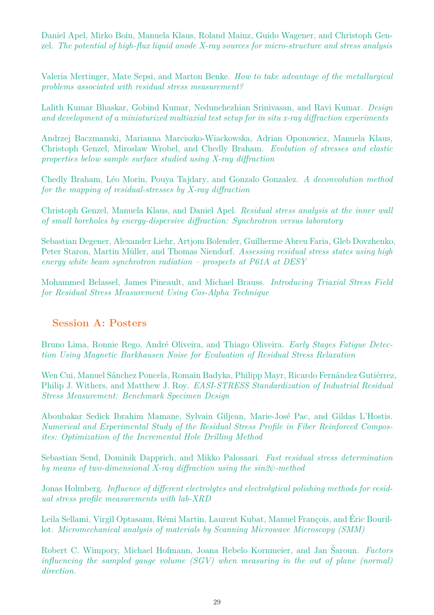Daniel Apel, Mirko Boin, Manuela Klaus, Roland Mainz, Guido Wagener, and Christoph Genzel. *The potential of high-flux liquid anode X-ray sources for micro-structure and stress analysis*

Valeria Mertinger, Mate Sepsi, and Marton Benke. *How to take advantage of the metallurgical problems associated with residual stress measurement?*

Lalith Kumar Bhaskar, Gobind Kumar, Nedunchezhian Srinivasan, and Ravi Kumar. *Design and development of a miniaturized multiaxial test setup for in situ x-ray diffraction experiments*

Andrzej Baczmanski, Marianna Marciszko-Wiackowska, Adrian Oponowicz, Manuela Klaus, Christoph Genzel, Miroslaw Wrobel, and Chedly Braham. *Evolution of stresses and elastic properties below sample surface studied using X-ray diffraction*

Chedly Braham, L´eo Morin, Pouya Tajdary, and Gonzalo Gonzalez. *A deconvolution method for the mapping of residual-stresses by X-ray diffraction*

Christoph Genzel, Manuela Klaus, and Daniel Apel. *Residual stress analysis at the inner wall of small boreholes by energy-dispersive diffraction: Synchrotron versus laboratory*

Sebastian Degener, Alexander Liehr, Artjom Bolender, Guilherme Abreu Faria, Gleb Dovzhenko, Peter Staron, Martin Müller, and Thomas Niendorf. *Assessing residual stress states using high energy white beam synchrotron radiation – prospects at P61A at DESY*

Mohammed Belassel, James Pineault, and Michael Brauss. *Introducing Triaxial Stress Field for Residual Stress Measurement Using Cos-Alpha Technique*

### **Session A: Posters**

Bruno Lima, Ronnie Rego, André Oliveira, and Thiago Oliveira. *Early Stages Fatigue Detection Using Magnetic Barkhausen Noise for Evaluation of Residual Stress Relaxation*

Wen Cui, Manuel Sánchez Poncela, Romain Badyka, Philipp Mayr, Ricardo Fernández Gutiérrez, Philip J. Withers, and Matthew J. Roy. *EASI-STRESS Standardization of Industrial Residual Stress Measurement: Benchmark Specimen Design*

Aboubakar Sedick Ibrahim Mamane, Sylvain Giljean, Marie-José Pac, and Gildas L'Hostis. *Numerical and Experimental Study of the Residual Stress Profile in Fiber Reinforced Composites: Optimization of the Incremental Hole Drilling Method*

Sebastian Send, Dominik Dapprich, and Mikko Palosaari. *Fast residual stress determination by means of two-dimensional X-ray diffraction using the sin2ψ-method*

Jonas Holmberg. *Influence of different electrolytes and electrolytical polishing methods for residual stress profile measurements with lab-XRD*

Leila Sellami, Virgil Optasanu, Rémi Martin, Laurent Kubat, Manuel François, and Éric Bourillot. *Micromechanical analysis of materials by Scanning Microwave Microscopy (SMM)*

Robert C. Wimpory, Michael Hofmann, Joana Rebelo Kornmeier, and Jan Saroun. Factors *influencing the sampled gauge volume (SGV) when measuring in the out of plane (normal) direction.*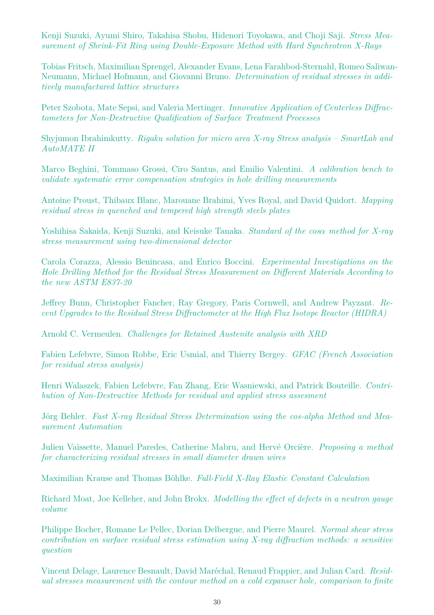Kenji Suzuki, Ayumi Shiro, Takahisa Shobu, Hidenori Toyokawa, and Choji Saji. *Stress Measurement of Shrink-Fit Ring using Double-Exposure Method with Hard Synchrotron X-Rays*

Tobias Fritsch, Maximilian Sprengel, Alexander Evans, Lena Farahbod-Sternahl, Romeo Saliwan-Neumann, Michael Hofmann, and Giovanni Bruno. *Determination of residual stresses in additively manufactured lattice structures*

Peter Szobota, Mate Sepsi, and Valeria Mertinger. *Innovative Application of Centerless Diffractometers for Non-Destructive Qualification of Surface Treatment Processes*

Shyjumon Ibrahimkutty. *Rigaku solution for micro area X-ray Stress analysis – SmartLab and AutoMATE II*

Marco Beghini, Tommaso Grossi, Ciro Santus, and Emilio Valentini. *A calibration bench to validate systematic error compensation strategies in hole drilling measurements*

Antoine Proust, Thibaux Blanc, Marouane Brahimi, Yves Royal, and David Quidort. *Mapping residual stress in quenched and tempered high strength steels plates*

Yoshihisa Sakaida, Kenji Suzuki, and Keisuke Tanaka. *Standard of the cosα method for X-ray stress measurement using two-dimensional detector*

Carola Corazza, Alessio Benincasa, and Enrico Boccini. *Experimental Investigations on the Hole Drilling Method for the Residual Stress Measurement on Different Materials According to the new ASTM E837-20*

Jeffrey Bunn, Christopher Fancher, Ray Gregory, Paris Cornwell, and Andrew Payzant. *Recent Upgrades to the Residual Stress Diffractometer at the High Flux Isotope Reactor (HIDRA)*

Arnold C. Vermeulen. *Challenges for Retained Austenite analysis with XRD*

Fabien Lefebvre, Simon Robbe, Eric Usmial, and Thierry Bergey. *GFAC (French Association for residual stress analysis)*

Henri Walaszek, Fabien Lefebvre, Fan Zhang, Eric Wasniewski, and Patrick Bouteille. *Contribution of Non-Destructive Methods for residual and applied stress assesment*

Jörg Behler. Fast X-ray Residual Stress Determination using the cos-alpha Method and Mea*surement Automation*

Julien Vaïssette, Manuel Paredes, Catherine Mabru, and Hervé Orcière. *Proposing a method for characterizing residual stresses in small diameter drawn wires*

Maximilian Krause and Thomas Böhlke. *Full-Field X-Ray Elastic Constant Calculation* 

Richard Moat, Joe Kelleher, and John Brokx. *Modelling the effect of defects in a neutron gauge volume*

Philippe Bocher, Romane Le Pellec, Dorian Delbergue, and Pierre Maurel. *Normal shear stress contribution on surface residual stress estimation using X-ray diffraction methods: a sensitive question*

Vincent Delage, Laurence Besnault, David Maréchal, Renaud Frappier, and Julian Card. *Residual stresses measurement with the contour method on a cold expanser hole, comparison to finite*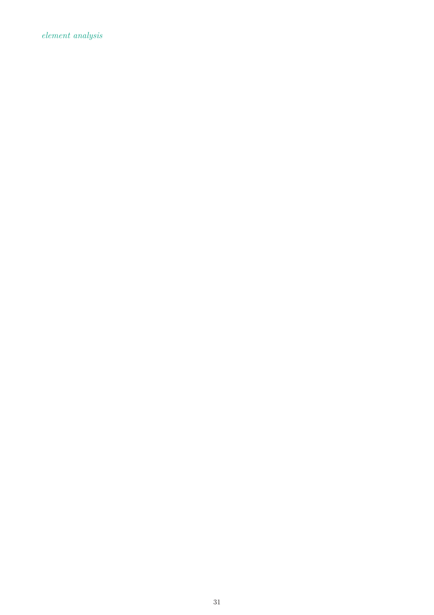*element analysis*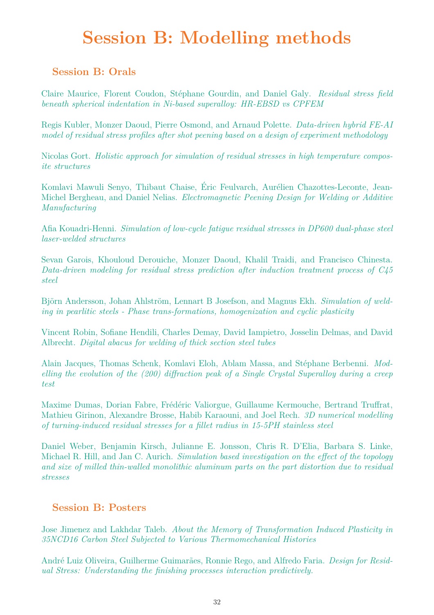# **Session B: Modelling methods**

### **Session B: Orals**

Claire Maurice, Florent Coudon, Stéphane Gourdin, and Daniel Galy. *Residual stress field beneath spherical indentation in Ni-based superalloy: HR-EBSD vs CPFEM*

Regis Kubler, Monzer Daoud, Pierre Osmond, and Arnaud Polette. *Data-driven hybrid FE-AI model of residual stress profiles after shot peening based on a design of experiment methodology*

Nicolas Gort. *Holistic approach for simulation of residual stresses in high temperature composite structures*

Komlavi Mawuli Senyo, Thibaut Chaise, Éric Feulvarch, Aurélien Chazottes-Leconte, Jean-Michel Bergheau, and Daniel Nelias. *Electromagnetic Peening Design for Welding or Additive Manufacturing*

Afia Kouadri-Henni. *Simulation of low-cycle fatigue residual stresses in DP600 dual-phase steel laser-welded structures*

Sevan Garois, Khouloud Derouiche, Monzer Daoud, Khalil Traidi, and Francisco Chinesta. *Data-driven modeling for residual stress prediction after induction treatment process of C45 steel*

Björn Andersson, Johan Ahlström, Lennart B Josefson, and Magnus Ekh. *Simulation of welding in pearlitic steels - Phase trans-formations, homogenization and cyclic plasticity*

Vincent Robin, Sofiane Hendili, Charles Demay, David Iampietro, Josselin Delmas, and David Albrecht. *Digital abacus for welding of thick section steel tubes*

Alain Jacques, Thomas Schenk, Komlavi Eloh, Ablam Massa, and Stéphane Berbenni. *Modelling the evolution of the (200) diffraction peak of a Single Crystal Superalloy during a creep test*

Maxime Dumas, Dorian Fabre, Frédéric Valiorgue, Guillaume Kermouche, Bertrand Truffrat, Mathieu Girinon, Alexandre Brosse, Habib Karaouni, and Joel Rech. *3D numerical modelling of turning-induced residual stresses for a fillet radius in 15-5PH stainless steel*

Daniel Weber, Benjamin Kirsch, Julianne E. Jonsson, Chris R. D'Elia, Barbara S. Linke, Michael R. Hill, and Jan C. Aurich. *Simulation based investigation on the effect of the topology and size of milled thin-walled monolithic aluminum parts on the part distortion due to residual stresses*

### **Session B: Posters**

Jose Jimenez and Lakhdar Taleb. *About the Memory of Transformation Induced Plasticity in 35NCD16 Carbon Steel Subjected to Various Thermomechanical Histories*

André Luiz Oliveira, Guilherme Guimarães, Ronnie Rego, and Alfredo Faria. *Design for Residual Stress: Understanding the finishing processes interaction predictively.*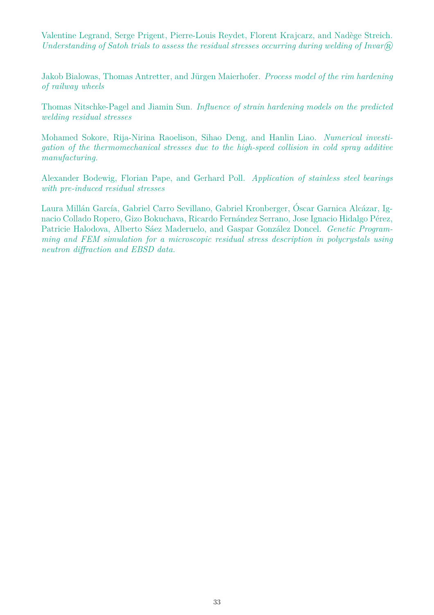Valentine Legrand, Serge Prigent, Pierre-Louis Reydet, Florent Krajcarz, and Nadège Streich. *Understanding of Satoh trials to assess the residual stresses occurring during welding of Invar* $\widehat{R}$ 

Jakob Bialowas, Thomas Antretter, and Jürgen Maierhofer. *Process model of the rim hardening of railway wheels*

Thomas Nitschke-Pagel and Jiamin Sun. *Influence of strain hardening models on the predicted welding residual stresses*

Mohamed Sokore, Rija-Nirina Raoelison, Sihao Deng, and Hanlin Liao. *Numerical investigation of the thermomechanical stresses due to the high-speed collision in cold spray additive manufacturing.*

Alexander Bodewig, Florian Pape, and Gerhard Poll. *Application of stainless steel bearings with pre-induced residual stresses*

Laura Millán García, Gabriel Carro Sevillano, Gabriel Kronberger, Óscar Garnica Alcázar, Ignacio Collado Ropero, Gizo Bokuchava, Ricardo Fernández Serrano, Jose Ignacio Hidalgo Pérez, Patricie Halodova, Alberto Sáez Maderuelo, and Gaspar González Doncel. *Genetic Programming and FEM simulation for a microscopic residual stress description in polycrystals using neutron diffraction and EBSD data.*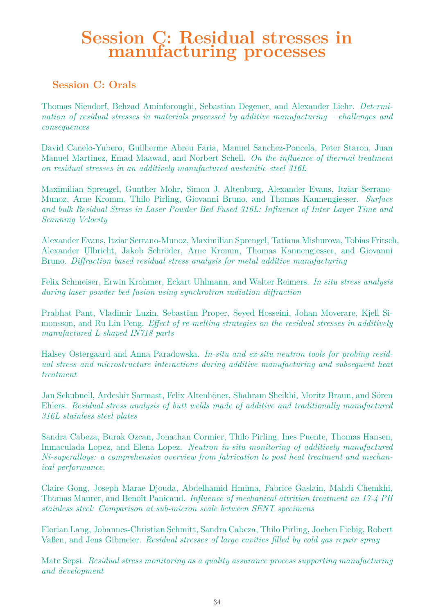### **Session C: Residual stresses in manufacturing processes**

### **Session C: Orals**

Thomas Niendorf, Behzad Aminforoughi, Sebastian Degener, and Alexander Liehr. *Determination of residual stresses in materials processed by additive manufacturing – challenges and consequences*

David Canelo-Yubero, Guilherme Abreu Faria, Manuel Sanchez-Poncela, Peter Staron, Juan Manuel Martinez, Emad Maawad, and Norbert Schell. *On the influence of thermal treatment on residual stresses in an additively manufactured austenitic steel 316L*

Maximilian Sprengel, Gunther Mohr, Simon J. Altenburg, Alexander Evans, Itziar Serrano-Munoz, Arne Kromm, Thilo Pirling, Giovanni Bruno, and Thomas Kannengiesser. *Surface and bulk Residual Stress in Laser Powder Bed Fused 316L: Influence of Inter Layer Time and Scanning Velocity*

Alexander Evans, Itziar Serrano-Munoz, Maximilian Sprengel, Tatiana Mishurova, Tobias Fritsch, Alexander Ulbricht, Jakob Schröder, Arne Kromm, Thomas Kannengiesser, and Giovanni Bruno. *Diffraction based residual stress analysis for metal additive manufacturing*

Felix Schmeiser, Erwin Krohmer, Eckart Uhlmann, and Walter Reimers. *In situ stress analysis during laser powder bed fusion using synchrotron radiation diffraction*

Prabhat Pant, Vladimir Luzin, Sebastian Proper, Seyed Hosseini, Johan Moverare, Kjell Simonsson, and Ru Lin Peng. *Effect of re-melting strategies on the residual stresses in additively manufactured L-shaped IN718 parts*

Halsey Ostergaard and Anna Paradowska. *In-situ and ex-situ neutron tools for probing residual stress and microstructure interactions during additive manufacturing and subsequent heat treatment*

Jan Schubnell, Ardeshir Sarmast, Felix Altenhöner, Shahram Sheikhi, Moritz Braun, and Sören Ehlers. *Residual stress analysis of butt welds made of additive and traditionally manufactured 316L stainless steel plates*

Sandra Cabeza, Burak Ozcan, Jonathan Cormier, Thilo Pirling, Ines Puente, Thomas Hansen, Inmaculada Lopez, and Elena Lopez. *Neutron in-situ monitoring of additively manufactured Ni-superalloys: a comprehensive overview from fabrication to post heat treatment and mechanical performance.*

Claire Gong, Joseph Marae Djouda, Abdelhamid Hmima, Fabrice Gaslain, Mahdi Chemkhi, Thomas Maurer, and Benoît Panicaud. *Influence of mechanical attrition treatment on 17-4 PH stainless steel: Comparison at sub-micron scale between SENT specimens*

Florian Lang, Johannes-Christian Schmitt, Sandra Cabeza, Thilo Pirling, Jochen Fiebig, Robert Vaßen, and Jens Gibmeier. *Residual stresses of large cavities filled by cold gas repair spray*

Mate Sepsi. *Residual stress monitoring as a quality assurance process supporting manufacturing and development*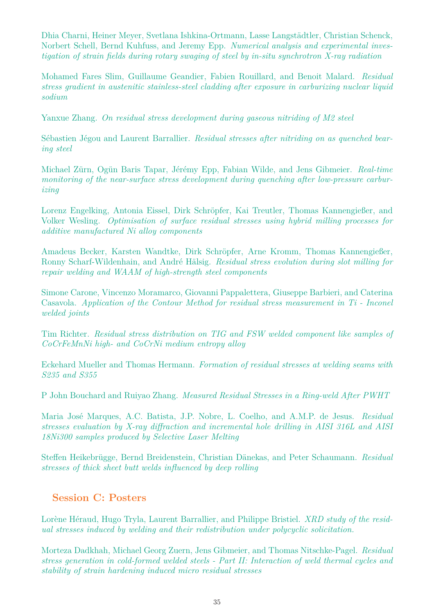Dhia Charni, Heiner Meyer, Svetlana Ishkina-Ortmann, Lasse Langstädtler, Christian Schenck, Norbert Schell, Bernd Kuhfuss, and Jeremy Epp. *Numerical analysis and experimental investigation of strain fields during rotary swaging of steel by in-situ synchrotron X-ray radiation*

Mohamed Fares Slim, Guillaume Geandier, Fabien Rouillard, and Benoit Malard. *Residual stress gradient in austenitic stainless-steel cladding after exposure in carburizing nuclear liquid sodium*

Yanxue Zhang. *On residual stress development during gaseous nitriding of M2 steel*

Sébastien Jégou and Laurent Barrallier. *Residual stresses after nitriding on as quenched bearing steel*

Michael Zürn, Ogün Baris Tapar, Jérémy Epp, Fabian Wilde, and Jens Gibmeier. *Real-time monitoring of the near-surface stress development during quenching after low-pressure carburizing*

Lorenz Engelking, Antonia Eissel, Dirk Schröpfer, Kai Treutler, Thomas Kannengießer, and Volker Wesling. *Optimisation of surface residual stresses using hybrid milling processes for additive manufactured Ni alloy components*

Amadeus Becker, Karsten Wandtke, Dirk Schröpfer, Arne Kromm, Thomas Kannengießer, Ronny Scharf-Wildenhain, and André Hälsig. *Residual stress evolution during slot milling for repair welding and WAAM of high-strength steel components*

Simone Carone, Vincenzo Moramarco, Giovanni Pappalettera, Giuseppe Barbieri, and Caterina Casavola. *Application of the Contour Method for residual stress measurement in Ti - Inconel welded joints*

Tim Richter. *Residual stress distribution on TIG and FSW welded component like samples of CoCrFeMnNi high- and CoCrNi medium entropy alloy*

Eckehard Mueller and Thomas Hermann. *Formation of residual stresses at welding seams with S235 and S355*

P John Bouchard and Ruiyao Zhang. *Measured Residual Stresses in a Ring-weld After PWHT*

Maria Jos´e Marques, A.C. Batista, J.P. Nobre, L. Coelho, and A.M.P. de Jesus. *Residual stresses evaluation by X-ray diffraction and incremental hole drilling in AISI 316L and AISI 18Ni300 samples produced by Selective Laser Melting*

Steffen Heikebrügge, Bernd Breidenstein, Christian Dänekas, and Peter Schaumann. *Residual stresses of thick sheet butt welds influenced by deep rolling*

### **Session C: Posters**

Lorène Héraud, Hugo Tryla, Laurent Barrallier, and Philippe Bristiel. *XRD study of the residual stresses induced by welding and their redistribution under polycyclic solicitation.*

Morteza Dadkhah, Michael Georg Zuern, Jens Gibmeier, and Thomas Nitschke-Pagel. *Residual stress generation in cold-formed welded steels - Part II: Interaction of weld thermal cycles and stability of strain hardening induced micro residual stresses*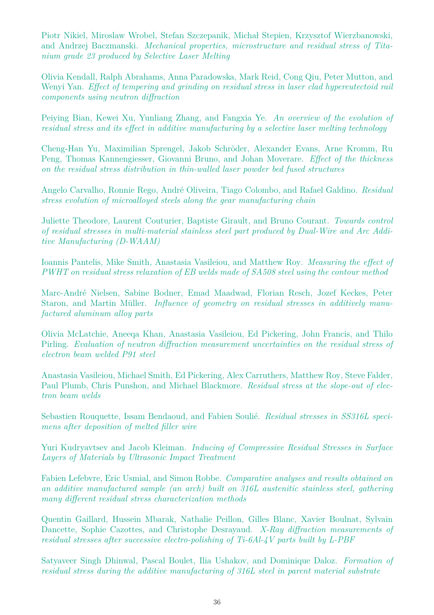Piotr Nikiel, Miroslaw Wrobel, Stefan Szczepanik, Michal Stepien, Krzysztof Wierzbanowski, and Andrzej Baczmanski. *Mechanical properties, microstructure and residual stress of Titanium grade 23 produced by Selective Laser Melting*

Olivia Kendall, Ralph Abrahams, Anna Paradowska, Mark Reid, Cong Qiu, Peter Mutton, and Wenyi Yan. *Effect of tempering and grinding on residual stress in laser clad hypereutectoid rail components using neutron diffraction*

Peiying Bian, Kewei Xu, Yunliang Zhang, and Fangxia Ye. *An overview of the evolution of residual stress and its effect in additive manufacturing by a selective laser melting technology*

Cheng-Han Yu, Maximilian Sprengel, Jakob Schröder, Alexander Evans, Arne Kromm, Ru Peng, Thomas Kannengiesser, Giovanni Bruno, and Johan Moverare. *Effect of the thickness on the residual stress distribution in thin-walled laser powder bed fused structures*

Angelo Carvalho, Ronnie Rego, Andr´e Oliveira, Tiago Colombo, and Rafael Galdino. *Residual stress evolution of microalloyed steels along the gear manufacturing chain*

Juliette Theodore, Laurent Couturier, Baptiste Girault, and Bruno Courant. *Towards control of residual stresses in multi-material stainless steel part produced by Dual-Wire and Arc Additive Manufacturing (D-WAAM)*

Ioannis Pantelis, Mike Smith, Anastasia Vasileiou, and Matthew Roy. *Measuring the effect of PWHT on residual stress relaxation of EB welds made of SA508 steel using the contour method*

Marc-Andr´e Nielsen, Sabine Bodner, Emad Maadwad, Florian Resch, Jozef Keckes, Peter Staron, and Martin Müller. *Influence of geometry on residual stresses in additively manufactured aluminum alloy parts*

Olivia McLatchie, Aneeqa Khan, Anastasia Vasileiou, Ed Pickering, John Francis, and Thilo Pirling. *Evaluation of neutron diffraction measurement uncertainties on the residual stress of electron beam welded P91 steel*

Anastasia Vasileiou, Michael Smith, Ed Pickering, Alex Carruthers, Matthew Roy, Steve Falder, Paul Plumb, Chris Punshon, and Michael Blackmore. *Residual stress at the slope-out of electron beam welds*

Sebastien Rouquette, Issam Bendaoud, and Fabien Soulié. *Residual stresses in SS316L specimens after deposition of melted filler wire*

Yuri Kudryavtsev and Jacob Kleiman. *Inducing of Compressive Residual Stresses in Surface Layers of Materials by Ultrasonic Impact Treatment*

Fabien Lefebvre, Eric Usmial, and Simon Robbe. *Comparative analyses and results obtained on an additive manufactured sample (an arch) built on 316L austenitic stainless steel, gathering many different residual stress characterization methods*

Quentin Gaillard, Hussein Mbarak, Nathalie Peillon, Gilles Blanc, Xavier Boulnat, Sylvain Dancette, Sophie Cazottes, and Christophe Desrayaud. *X-Ray diffraction measurements of residual stresses after successive electro-polishing of Ti-6Al-4V parts built by L-PBF*

Satyaveer Singh Dhinwal, Pascal Boulet, Ilia Ushakov, and Dominique Daloz. *Formation of residual stress during the additive manufacturing of 316L steel in parent material substrate*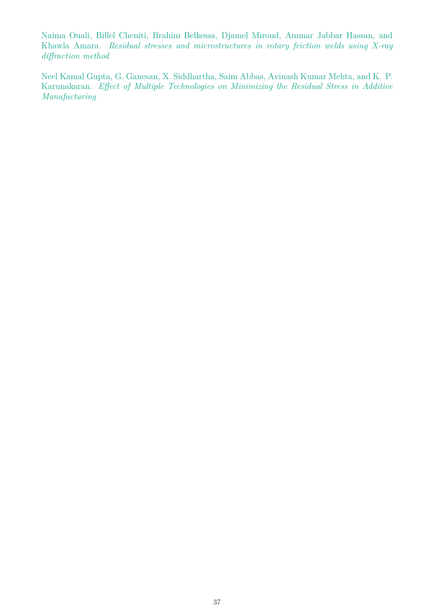Naima Ouali, Billel Cheniti, Brahim Belkessa, Djamel Miroud, Ammar Jabbar Hassan, and Khawla Amara. *Residual stresses and microstructures in rotary friction welds using X-ray diffraction method*

Neel Kamal Gupta, G. Ganesan, X. Siddhartha, Saim Abbas, Avinash Kumar Mehta, and K. P. Karunakaran. *Effect of Multiple Technologies on Minimizing the Residual Stress in Additive Manufacturing*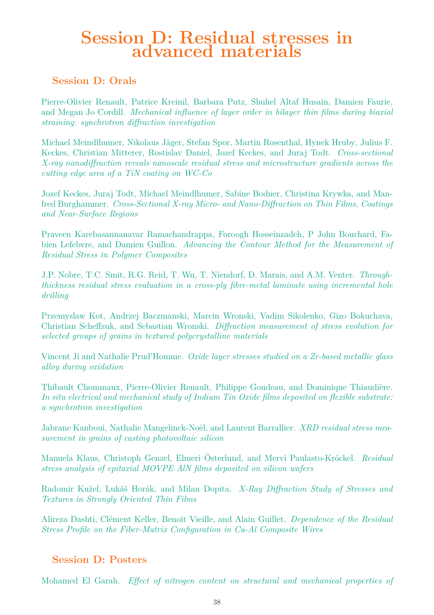### **Session D: Residual stresses in advanced materials**

### **Session D: Orals**

Pierre-Olivier Renault, Patrice Kreiml, Barbara Putz, Shuhel Altaf Husain, Damien Faurie, and Megan Jo Cordill. *Mechanical influence of layer order in bilayer thin films during biaxial straining: synchrotron diffraction investigation*

Michael Meindlhumer, Nikolaus Jäger, Stefan Spor, Martin Rosenthal, Hynek Hruby, Julius F. Keckes, Christian Mitterer, Rostislav Daniel, Jozef Keckes, and Juraj Todt. *Cross-sectional X-ray nanodiffraction reveals nanoscale residual stress and microstructure gradients across the cutting edge area of a TiN coating on WC-Co*

Jozef Keckes, Juraj Todt, Michael Meindlhumer, Sabine Bodner, Christina Krywka, and Manfred Burghammer. *Cross-Sectional X-ray Micro- and Nano-Diffraction on Thin Films, Coatings and Near-Surface Regions*

Praveen Karebasannanavar Ramachandrappa, Foroogh Hosseinzadeh, P John Bouchard, Fabien Lefebvre, and Damien Guillon. *Advancing the Contour Method for the Measurement of Residual Stress in Polymer Composites*

J.P. Nobre, T.C. Smit, R.G. Reid, T. Wu, T. Niendorf, D. Marais, and A.M. Venter. *Throughthickness residual stress evaluation in a cross-ply fibre-metal laminate using incremental hole drilling*

Przemyslaw Kot, Andrzej Baczmanski, Marcin Wronski, Vadim Sikolenko, Gizo Bokuchava, Christian Scheffzuk, and Sebastian Wronski. *Diffraction measurement of stress evolution for selected groups of grains in textured polycrystalline materials*

Vincent Ji and Nathalie Prud'Homme. *Oxide layer stresses studied on a Zr-based metallic glass alloy during oxidation*

Thibault Chommaux, Pierre-Olivier Renault, Philippe Goudeau, and Dominique Thiaudière. *In situ electrical and mechanical study of Indium Tin Oxide films deposited on flexible substrate: a synchrotron investigation*

Jabrane Kanboui, Nathalie Mangelinck-Noël, and Laurent Barrallier. *XRD residual stress measurement in grains of casting photovoltaic silicon*

Manuela Klaus, Christoph Genzel, Elmeri Österlund, and Mervi Paulasto-Kröckel. Residual *stress analysis of epitaxial MOVPE AlN films deposited on silicon wafers*

Radomir Kužel, Lukáš Horák, and Milan Dopita. *X-Ray Diffraction Study of Stresses and Textures in Strongly Oriented Thin Films*

Alireza Dashti, Cl´ement Keller, Benoit Vieille, and Alain Guillet. *Dependence of the Residual Stress Profile on the Fiber-Matrix Configuration in Cu-Al Composite Wires*

### **Session D: Posters**

Mohamed El Garah. *Effect of nitrogen content on structural and mechanical properties of*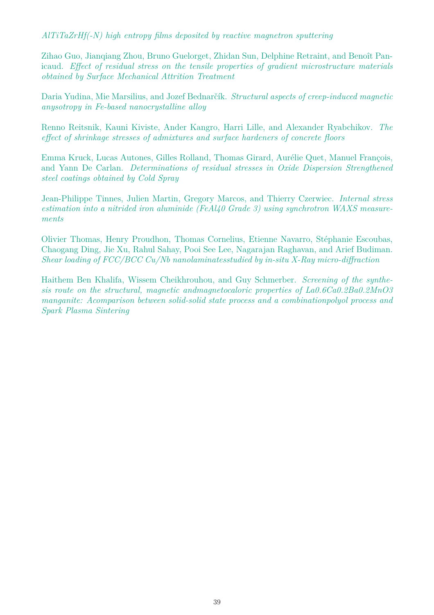*AlTiTaZrHf(-N) high entropy films deposited by reactive magnetron sputtering*

Zihao Guo, Jianqiang Zhou, Bruno Guelorget, Zhidan Sun, Delphine Retraint, and Benoît Panicaud. *Effect of residual stress on the tensile properties of gradient microstructure materials obtained by Surface Mechanical Attrition Treatment*

Daria Yudina, Mie Marsilius, and Jozef Bednarčík. *Structural aspects of creep-induced magnetic anysotropy in Fe-based nanocrystalline alloy*

Renno Reitsnik, Kauni Kiviste, Ander Kangro, Harri Lille, and Alexander Ryabchikov. *The effect of shrinkage stresses of admixtures and surface hardeners of concrete floors*

Emma Kruck, Lucas Autones, Gilles Rolland, Thomas Girard, Aurélie Quet, Manuel François, and Yann De Carlan. *Determinations of residual stresses in Oxide Dispersion Strengthened steel coatings obtained by Cold Spray*

Jean-Philippe Tinnes, Julien Martin, Gregory Marcos, and Thierry Czerwiec. *Internal stress estimation into a nitrided iron aluminide (FeAl40 Grade 3) using synchrotron WAXS measurements*

Olivier Thomas, Henry Proudhon, Thomas Cornelius, Etienne Navarro, Stéphanie Escoubas, Chaogang Ding, Jie Xu, Rahul Sahay, Pooi See Lee, Nagarajan Raghavan, and Arief Budiman. *Shear loading of FCC/BCC Cu/Nb nanolaminatesstudied by in-situ X-Ray micro-diffraction*

Haithem Ben Khalifa, Wissem Cheikhrouhou, and Guy Schmerber. *Screening of the synthesis route on the structural, magnetic andmagnetocaloric properties of La0.6Ca0.2Ba0.2MnO3 manganite: Acomparison between solid-solid state process and a combinationpolyol process and Spark Plasma Sintering*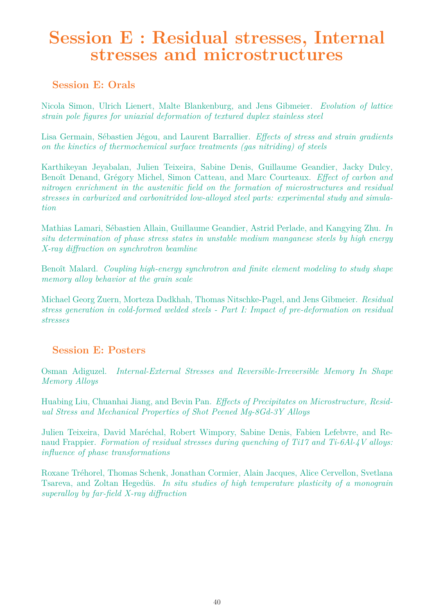### **Session E : Residual stresses, Internal stresses and microstructures**

### **Session E: Orals**

Nicola Simon, Ulrich Lienert, Malte Blankenburg, and Jens Gibmeier. *Evolution of lattice strain pole figures for uniaxial deformation of textured duplex stainless steel*

Lisa Germain, Sébastien Jégou, and Laurent Barrallier. *Effects of stress and strain gradients on the kinetics of thermochemical surface treatments (gas nitriding) of steels*

Karthikeyan Jeyabalan, Julien Teixeira, Sabine Denis, Guillaume Geandier, Jacky Dulcy, Benoît Denand, Grégory Michel, Simon Catteau, and Marc Courteaux. *Effect of carbon and nitrogen enrichment in the austenitic field on the formation of microstructures and residual stresses in carburized and carbonitrided low-alloyed steel parts: experimental study and simulation*

Mathias Lamari, Sébastien Allain, Guillaume Geandier, Astrid Perlade, and Kangying Zhu. *In situ determination of phase stress states in unstable medium manganese steels by high energy X-ray diffraction on synchrotron beamline*

Benoît Malard. *Coupling high-energy synchrotron and finite element modeling to study shape memory alloy behavior at the grain scale*

Michael Georg Zuern, Morteza Dadkhah, Thomas Nitschke-Pagel, and Jens Gibmeier. *Residual stress generation in cold-formed welded steels - Part I: Impact of pre-deformation on residual stresses*

### **Session E: Posters**

Osman Adiguzel. *Internal-External Stresses and Reversible-Irreversible Memory In Shape Memory Alloys*

Huabing Liu, Chuanhai Jiang, and Bevin Pan. *Effects of Precipitates on Microstructure, Residual Stress and Mechanical Properties of Shot Peened Mg-8Gd-3Y Alloys*

Julien Teixeira, David Maréchal, Robert Wimpory, Sabine Denis, Fabien Lefebvre, and Renaud Frappier. *Formation of residual stresses during quenching of Ti17 and Ti-6Al-4V alloys: influence of phase transformations*

Roxane Tréhorel, Thomas Schenk, Jonathan Cormier, Alain Jacques, Alice Cervellon, Svetlana Tsareva, and Zoltan Hegedüs. *In situ studies of high temperature plasticity of a monograin superalloy by far-field X-ray diffraction*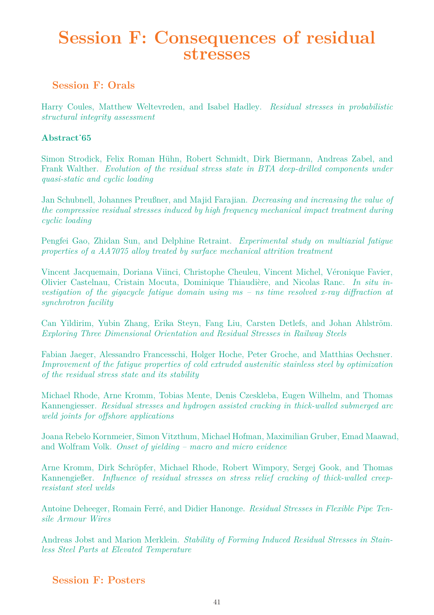### **Session F: Consequences of residual stresses**

### **Session F: Orals**

Harry Coules, Matthew Weltevreden, and Isabel Hadley. *Residual stresses in probabilistic structural integrity assessment*

### **Abstract˙65**

Simon Strodick, Felix Roman Hühn, Robert Schmidt, Dirk Biermann, Andreas Zabel, and Frank Walther. *Evolution of the residual stress state in BTA deep-drilled components under quasi-static and cyclic loading*

Jan Schubnell, Johannes Preußner, and Majid Farajian. *Decreasing and increasing the value of the compressive residual stresses induced by high frequency mechanical impact treatment during cyclic loading*

Pengfei Gao, Zhidan Sun, and Delphine Retraint. *Experimental study on multiaxial fatigue properties of a AA7075 alloy treated by surface mechanical attrition treatment*

Vincent Jacquemain, Doriana Viinci, Christophe Cheuleu, Vincent Michel, Véronique Favier, Olivier Castelnau, Cristain Mocuta, Dominique Thiaudière, and Nicolas Ranc. *In situ investigation of the gigacycle fatigue domain using ms – ns time resolved x-ray diffraction at synchrotron facility*

Can Yildirim, Yubin Zhang, Erika Steyn, Fang Liu, Carsten Detlefs, and Johan Ahlström. *Exploring Three Dimensional Orientation and Residual Stresses in Railway Steels*

Fabian Jaeger, Alessandro Francesschi, Holger Hoche, Peter Groche, and Matthias Oechsner. *Improvement of the fatigue properties of cold extruded austenitic stainless steel by optimization of the residual stress state and its stability*

Michael Rhode, Arne Kromm, Tobias Mente, Denis Czeskleba, Eugen Wilhelm, and Thomas Kannengiesser. *Residual stresses and hydrogen assisted cracking in thick-walled submerged arc weld joints for offshore applications*

Joana Rebelo Kornmeier, Simon Vitzthum, Michael Hofman, Maximilian Gruber, Emad Maawad, and Wolfram Volk. *Onset of yielding – macro and micro evidence*

Arne Kromm, Dirk Schröpfer, Michael Rhode, Robert Wimpory, Sergej Gook, and Thomas Kannengießer. *Influence of residual stresses on stress relief cracking of thick-walled creepresistant steel welds*

Antoine Deheeger, Romain Ferré, and Didier Hanonge. *Residual Stresses in Flexible Pipe Tensile Armour Wires*

Andreas Jobst and Marion Merklein. *Stability of Forming Induced Residual Stresses in Stainless Steel Parts at Elevated Temperature*

### **Session F: Posters**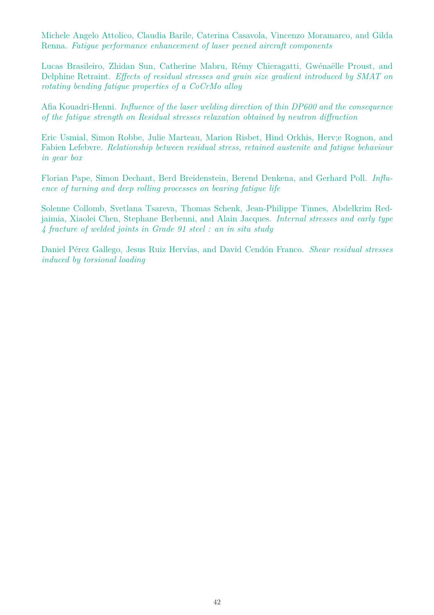Michele Angelo Attolico, Claudia Barile, Caterina Casavola, Vincenzo Moramarco, and Gilda Renna. *Fatigue performance enhancement of laser peened aircraft components*

Lucas Brasileiro, Zhidan Sun, Catherine Mabru, Rémy Chieragatti, Gwénaëlle Proust, and Delphine Retraint. *Effects of residual stresses and grain size gradient introduced by SMAT on rotating bending fatigue properties of a CoCrMo alloy*

Afia Kouadri-Henni. *Influence of the laser welding direction of thin DP600 and the consequence of the fatigue strength on Residual stresses relaxation obtained by neutron diffraction*

Eric Usmial, Simon Robbe, Julie Marteau, Marion Risbet, Hind Orkhis, Herv;e Rognon, and Fabien Lefebvre. *Relationship between residual stress, retained austenite and fatigue behaviour in gear box*

Florian Pape, Simon Dechant, Berd Breidenstein, Berend Denkena, and Gerhard Poll. *Influence of turning and deep rolling processes on bearing fatigue life*

Solenne Collomb, Svetlana Tsareva, Thomas Schenk, Jean-Philippe Tinnes, Abdelkrim Redjaimia, Xiaolei Chen, Stephane Berbenni, and Alain Jacques. *Internal stresses and early type 4 fracture of welded joints in Grade 91 steel : an in situ study*

Daniel Pérez Gallego, Jesus Ruiz Hervías, and David Cendón Franco. *Shear residual stresses induced by torsional loading*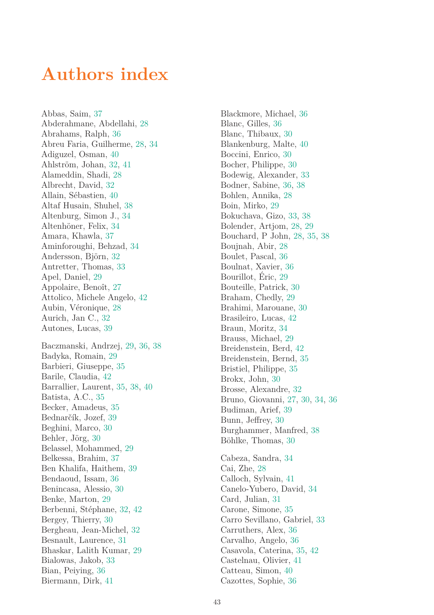### **Authors index**

Abbas, Saim, 37 Abderahmane, Abdellahi, 28 Abrahams, Ralph, 36 Abreu Faria, Guilherme, 28, 34 Adiguzel, Osman, 40 Ahlström, Johan, 32, 41 Alameddin, Shadi, 28 Albrecht, David, 32 Allain, Sébastien, 40 Altaf Husain, Shuhel, 38 Altenburg, Simon J., 34 Altenhöner, Felix, 34 Amara, Khawla, 37 Aminforoughi, Behzad, 34 Andersson, Björn, 32 Antretter, Thomas, 33 Apel, Daniel, 29 Appolaire, Benoît, 27 Attolico, Michele Angelo, 42 Aubin, Véronique, 28 Aurich, Jan C., 32 Autones, Lucas, 39 Baczmanski, Andrzej, 29, 36, 38 Badyka, Romain, 29 Barbieri, Giuseppe, 35 Barile, Claudia, 42 Barrallier, Laurent, 35, 38, 40 Batista, A.C., 35 Becker, Amadeus, 35 Bednarčík, Jozef, 39 Beghini, Marco, 30 Behler, Jörg, 30 Belassel, Mohammed, 29 Belkessa, Brahim, 37 Ben Khalifa, Haithem, 39 Bendaoud, Issam, 36 Benincasa, Alessio, 30 Benke, Marton, 29 Berbenni, Stéphane, 32, 42 Bergey, Thierry, 30 Bergheau, Jean-Michel, 32 Besnault, Laurence, 31 Bhaskar, Lalith Kumar, 29 Bialowas, Jakob, 33 Bian, Peiying, 36 Biermann, Dirk, 41

Blackmore, Michael, 36 Blanc, Gilles, 36 Blanc, Thibaux, 30 Blankenburg, Malte, 40 Boccini, Enrico, 30 Bocher, Philippe, 30 Bodewig, Alexander, 33 Bodner, Sabine, 36, 38 Bohlen, Annika, 28 Boin, Mirko, 29 Bokuchava, Gizo, 33, 38 Bolender, Artjom, 28, 29 Bouchard, P John, 28, 35, 38 Boujnah, Abir, 28 Boulet, Pascal, 36 Boulnat, Xavier, 36 Bourillot, Éric, 29 Bouteille, Patrick, 30 Braham, Chedly, 29 Brahimi, Marouane, 30 Brasileiro, Lucas, 42 Braun, Moritz, 34 Brauss, Michael, 29 Breidenstein, Berd, 42 Breidenstein, Bernd, 35 Bristiel, Philippe, 35 Brokx, John, 30 Brosse, Alexandre, 32 Bruno, Giovanni, 27, 30, 34, 36 Budiman, Arief, 39 Bunn, Jeffrey, 30 Burghammer, Manfred, 38 Böhlke, Thomas, 30 Cabeza, Sandra, 34 Cai, Zhe, 28 Calloch, Sylvain, 41 Canelo-Yubero, David, 34 Card, Julian, 31 Carone, Simone, 35 Carro Sevillano, Gabriel, 33 Carruthers, Alex, 36 Carvalho, Angelo, 36

Casavola, Caterina, 35, 42 Castelnau, Olivier, 41 Catteau, Simon, 40 Cazottes, Sophie, 36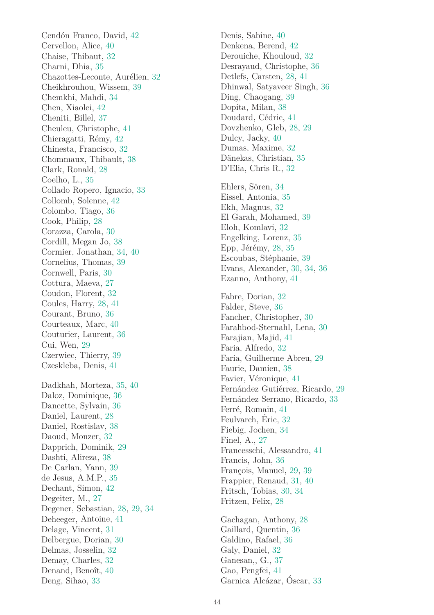Cendón Franco, David, 42 Cervellon, Alice, 40 Chaise, Thibaut, 32 Charni, Dhia, 35 Chazottes-Leconte, Aurélien, 32 Cheikhrouhou, Wissem, 39 Chemkhi, Mahdi, 34 Chen, Xiaolei, 42 Cheniti, Billel, 37 Cheuleu, Christophe, 41 Chieragatti, Rémy, 42 Chinesta, Francisco, 32 Chommaux, Thibault, 38 Clark, Ronald, 28 Coelho, L., 35 Collado Ropero, Ignacio, 33 Collomb, Solenne, 42 Colombo, Tiago, 36 Cook, Philip, 28 Corazza, Carola, 30 Cordill, Megan Jo, 38 Cormier, Jonathan, 34, 40 Cornelius, Thomas, 39 Cornwell, Paris, 30 Cottura, Maeva, 27 Coudon, Florent, 32 Coules, Harry, 28, 41 Courant, Bruno, 36 Courteaux, Marc, 40 Couturier, Laurent, 36 Cui, Wen, 29 Czerwiec, Thierry, 39 Czeskleba, Denis, 41 Dadkhah, Morteza, 35, 40 Daloz, Dominique, 36 Dancette, Sylvain, 36 Daniel, Laurent, 28 Daniel, Rostislav, 38 Daoud, Monzer, 32 Dapprich, Dominik, 29 Dashti, Alireza, 38 De Carlan, Yann, 39 de Jesus, A.M.P., 35 Dechant, Simon, 42 Degeiter, M., 27 Degener, Sebastian, 28, 29, 34 Deheeger, Antoine, 41 Delage, Vincent, 31 Delbergue, Dorian, 30 Delmas, Josselin, 32 Demay, Charles, 32 Denand, Benoît, 40 Deng, Sihao, 33

Denis, Sabine, 40 Denkena, Berend, 42 Derouiche, Khouloud, 32 Desrayaud, Christophe, 36 Detlefs, Carsten, 28, 41 Dhinwal, Satyaveer Singh, 36 Ding, Chaogang, 39 Dopita, Milan, 38 Doudard, Cédric, 41 Dovzhenko, Gleb, 28, 29 Dulcy, Jacky, 40 Dumas, Maxime, 32 Dänekas, Christian, 35 D'Elia, Chris R., 32 Ehlers, Sören, 34 Eissel, Antonia, 35

Ekh, Magnus, 32 El Garah, Mohamed, 39 Eloh, Komlavi, 32 Engelking, Lorenz, 35 Epp, Jérémy,  $28, 35$ Escoubas, Stéphanie, 39 Evans, Alexander, 30, 34, 36 Ezanno, Anthony, 41

Fabre, Dorian, 32 Falder, Steve, 36 Fancher, Christopher, 30 Farahbod-Sternahl, Lena, 30 Farajian, Majid, 41 Faria, Alfredo, 32 Faria, Guilherme Abreu, 29 Faurie, Damien, 38 Favier, Véronique, 41 Fernández Gutiérrez, Ricardo, 29 Fernández Serrano, Ricardo, 33 Ferré, Romain, 41 Feulvarch, Eric,  $32$ Fiebig, Jochen, 34 Finel, A., 27 Francesschi, Alessandro, 41 Francis, John, 36 François, Manuel, 29, 39 Frappier, Renaud, 31, 40 Fritsch, Tobias, 30, 34 Fritzen, Felix, 28

Gachagan, Anthony, 28 Gaillard, Quentin, 36 Galdino, Rafael, 36 Galy, Daniel, 32 Ganesan,, G., 37 Gao, Pengfei, 41 Garnica Alcázar, Óscar, 33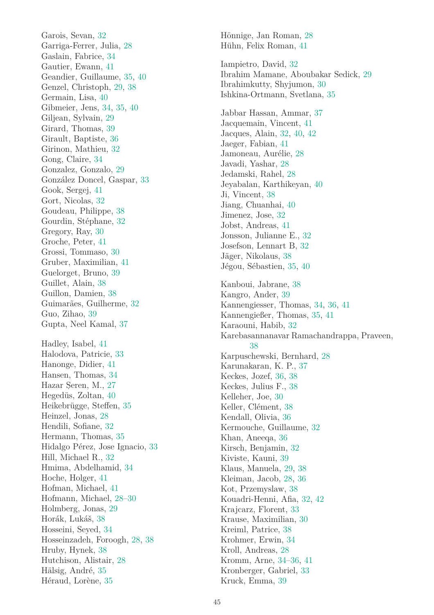Garois, Sevan, 32 Garriga-Ferrer, Julia, 28 Gaslain, Fabrice, 34 Gautier, Ewann, 41 Geandier, Guillaume, 35, 40 Genzel, Christoph, 29, 38 Germain, Lisa, 40 Gibmeier, Jens, 34, 35, 40 Giljean, Sylvain, 29 Girard, Thomas, 39 Girault, Baptiste, 36 Girinon, Mathieu, 32 Gong, Claire, 34 Gonzalez, Gonzalo, 29 González Doncel, Gaspar, 33 Gook, Sergej, 41 Gort, Nicolas, 32 Goudeau, Philippe, 38 Gourdin, Stéphane, 32 Gregory, Ray, 30 Groche, Peter, 41 Grossi, Tommaso, 30 Gruber, Maximilian, 41 Guelorget, Bruno, 39 Guillet, Alain, 38 Guillon, Damien, 38 Guimarães, Guilherme, 32 Guo, Zihao, 39 Gupta, Neel Kamal, 37 Hadley, Isabel, 41 Halodova, Patricie, 33 Hanonge, Didier, 41 Hansen, Thomas, 34 Hazar Seren, M., 27 Hegedüs, Zoltan, 40 Heikebrügge, Steffen, 35 Heinzel, Jonas, 28 Hendili, Sofiane, 32 Hermann, Thomas, 35 Hidalgo Pérez, Jose Ignacio, 33 Hill, Michael R., 32 Hmima, Abdelhamid, 34 Hoche, Holger, 41 Hofman, Michael, 41 Hofmann, Michael, 28–30 Holmberg, Jonas, 29 Horák, Lukáš, 38 Hosseini, Seyed, 34 Hosseinzadeh, Foroogh, 28, 38 Hruby, Hynek, 38 Hutchison, Alistair, 28 Hälsig, André, 35 Héraud, Lorène, 35

Hönnige, Jan Roman, 28 Hühn, Felix Roman, 41 Iampietro, David, 32 Ibrahim Mamane, Aboubakar Sedick, 29 Ibrahimkutty, Shyjumon, 30 Ishkina-Ortmann, Svetlana, 35 Jabbar Hassan, Ammar, 37 Jacquemain, Vincent, 41 Jacques, Alain, 32, 40, 42 Jaeger, Fabian, 41 Jamoneau, Aurélie, 28 Javadi, Yashar, 28 Jedamski, Rahel, 28 Jeyabalan, Karthikeyan, 40 Ji, Vincent, 38 Jiang, Chuanhai, 40 Jimenez, Jose, 32 Jobst, Andreas, 41 Jonsson, Julianne E., 32 Josefson, Lennart B, 32 Jäger, Nikolaus, 38 Jégou, Sébastien, 35, 40 Kanboui, Jabrane, 38 Kangro, Ander, 39 Kannengiesser, Thomas, 34, 36, 41 Kannengießer, Thomas, 35, 41 Karaouni, Habib, 32 Karebasannanavar Ramachandrappa, Praveen, 38 Karpuschewski, Bernhard, 28 Karunakaran, K. P., 37 Keckes, Jozef, 36, 38 Keckes, Julius F., 38 Kelleher, Joe, 30 Keller, Clément, 38 Kendall, Olivia, 36 Kermouche, Guillaume, 32 Khan, Aneeqa, 36 Kirsch, Benjamin, 32 Kiviste, Kauni, 39 Klaus, Manuela, 29, 38 Kleiman, Jacob, 28, 36 Kot, Przemyslaw, 38 Kouadri-Henni, Afia, 32, 42 Krajcarz, Florent, 33 Krause, Maximilian, 30 Kreiml, Patrice, 38 Krohmer, Erwin, 34 Kroll, Andreas, 28 Kromm, Arne, 34–36, 41 Kronberger, Gabriel, 33 Kruck, Emma, 39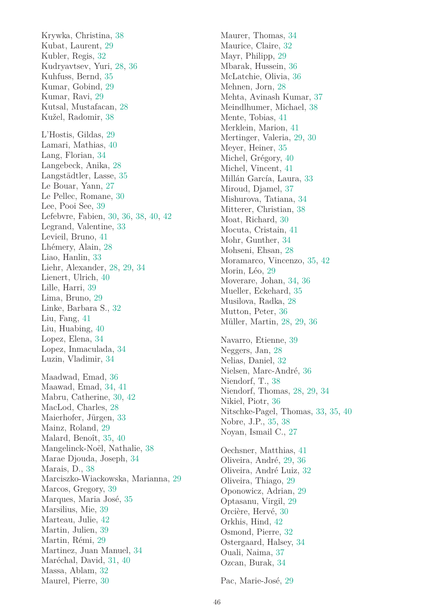Krywka, Christina, 38 Kubat, Laurent, 29 Kubler, Regis, 32 Kudryavtsev, Yuri, 28, 36 Kuhfuss, Bernd, 35 Kumar, Gobind, 29 Kumar, Ravi, 29 Kutsal, Mustafacan, 28 Kužel, Radomir, 38 L'Hostis, Gildas, 29 Lamari, Mathias, 40 Lang, Florian, 34 Langebeck, Anika, 28 Langstädtler, Lasse, 35 Le Bouar, Yann, 27 Le Pellec, Romane, 30 Lee, Pooi See, 39 Lefebvre, Fabien, 30, 36, 38, 40, 42 Legrand, Valentine, 33 Levieil, Bruno, 41 Lhémery, Alain, 28 Liao, Hanlin, 33 Liehr, Alexander, 28, 29, 34 Lienert, Ulrich, 40 Lille, Harri, 39 Lima, Bruno, 29 Linke, Barbara S., 32 Liu, Fang, 41 Liu, Huabing, 40 Lopez, Elena, 34 Lopez, Inmaculada, 34 Luzin, Vladimir, 34 Maadwad, Emad, 36 Maawad, Emad, 34, 41 Mabru, Catherine, 30, 42 MacLod, Charles, 28 Maierhofer, Jürgen, 33 Mainz, Roland, 29 Malard, Benoît, 35, 40 Mangelinck-Noël, Nathalie, 38 Marae Djouda, Joseph, 34 Marais, D., 38 Marciszko-Wiackowska, Marianna, 29 Marcos, Gregory, 39 Marques, Maria José, 35 Marsilius, Mie, 39 Marteau, Julie, 42 Martin, Julien, 39 Martin, Rémi, 29 Martinez, Juan Manuel, 34 Maréchal, David, 31, 40 Massa, Ablam, 32 Maurel, Pierre, 30

Maurer, Thomas, 34 Maurice, Claire, 32 Mayr, Philipp, 29 Mbarak, Hussein, 36 McLatchie, Olivia, 36 Mehnen, Jorn, 28 Mehta, Avinash Kumar, 37 Meindlhumer, Michael, 38 Mente, Tobias, 41 Merklein, Marion, 41 Mertinger, Valeria, 29, 30 Meyer, Heiner, 35 Michel, Grégory, 40 Michel, Vincent, 41 Millán García, Laura, 33 Miroud, Djamel, 37 Mishurova, Tatiana, 34 Mitterer, Christian, 38 Moat, Richard, 30 Mocuta, Cristain, 41 Mohr, Gunther, 34 Mohseni, Ehsan, 28 Moramarco, Vincenzo, 35, 42 Morin, Léo, 29 Moverare, Johan, 34, 36 Mueller, Eckehard, 35 Musilova, Radka, 28 Mutton, Peter, 36 Müller, Martin, 28, 29, 36 Navarro, Etienne, 39 Neggers, Jan, 28 Nelias, Daniel, 32 Nielsen, Marc-André, 36 Niendorf, T., 38 Niendorf, Thomas, 28, 29, 34

Nikiel, Piotr, 36 Nitschke-Pagel, Thomas, 33, 35, 40 Nobre, J.P., 35, 38 Noyan, Ismail C., 27

Oechsner, Matthias, 41 Oliveira, André, 29, 36 Oliveira, André Luiz, 32 Oliveira, Thiago, 29 Oponowicz, Adrian, 29 Optasanu, Virgil, 29 Orcière, Hervé, 30 Orkhis, Hind, 42 Osmond, Pierre, 32 Ostergaard, Halsey, 34 Ouali, Naima, 37 Ozcan, Burak, 34

Pac, Marie-José, 29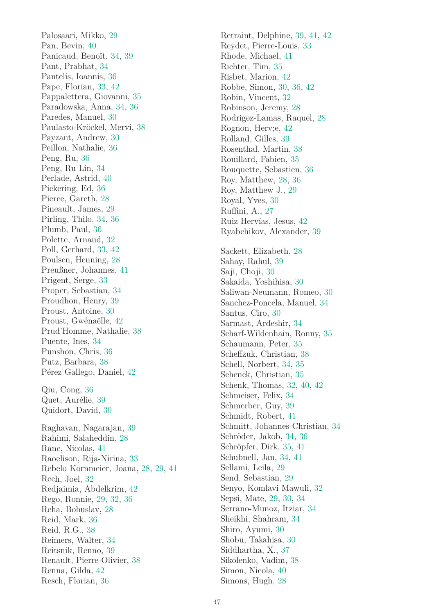Palosaari, Mikko, 29 Pan, Bevin, 40 Panicaud, Benoît, 34, 39 Pant, Prabhat, 34 Pantelis, Ioannis, 36 Pape, Florian, 33, 42 Pappalettera, Giovanni, 35 Paradowska, Anna, 34, 36 Paredes, Manuel, 30 Paulasto-Kröckel, Mervi, 38 Payzant, Andrew, 30 Peillon, Nathalie, 36 Peng, Ru, 36 Peng, Ru Lin, 34 Perlade, Astrid, 40 Pickering, Ed, 36 Pierce, Gareth, 28 Pineault, James, 29 Pirling, Thilo, 34, 36 Plumb, Paul, 36 Polette, Arnaud, 32 Poll, Gerhard, 33, 42 Poulsen, Henning, 28 Preußner, Johannes, 41 Prigent, Serge, 33 Proper, Sebastian, 34 Proudhon, Henry, 39 Proust, Antoine, 30 Proust, Gwénaëlle, 42 Prud'Homme, Nathalie, 38 Puente, Ines, 34 Punshon, Chris, 36 Putz, Barbara, 38 Pérez Gallego, Daniel, 42 Qiu, Cong, 36 Quet, Aurélie, 39 Quidort, David, 30 Raghavan, Nagarajan, 39 Rahimi, Salaheddin, 28 Ranc, Nicolas, 41 Raoelison, Rija-Nirina, 33 Rebelo Kornmeier, Joana, 28, 29, 41 Rech, Joel, 32 Redjaimia, Abdelkrim, 42 Rego, Ronnie, 29, 32, 36 Reha, Bohuslav, 28 Reid, Mark, 36 Reid, R.G., 38 Reimers, Walter, 34 Reitsnik, Renno, 39 Renault, Pierre-Olivier, 38 Renna, Gilda, 42 Resch, Florian, 36

Retraint, Delphine, 39, 41, 42 Reydet, Pierre-Louis, 33 Rhode, Michael, 41 Richter, Tim, 35 Risbet, Marion, 42 Robbe, Simon, 30, 36, 42 Robin, Vincent, 32 Robinson, Jeremy, 28 Rodrigez-Lamas, Raquel, 28 Rognon, Herv;e, 42 Rolland, Gilles, 39 Rosenthal, Martin, 38 Rouillard, Fabien, 35 Rouquette, Sebastien, 36 Roy, Matthew, 28, 36 Roy, Matthew J., 29 Royal, Yves, 30 Ruffini, A., 27 Ruiz Hervías, Jesus, 42 Ryabchikov, Alexander, 39 Sackett, Elizabeth, 28 Sahay, Rahul, 39 Saji, Choji, 30 Sakaida, Yoshihisa, 30 Saliwan-Neumann, Romeo, 30 Sanchez-Poncela, Manuel, 34 Santus, Ciro, 30 Sarmast, Ardeshir, 34 Scharf-Wildenhain, Ronny, 35 Schaumann, Peter, 35 Scheffzuk, Christian, 38 Schell, Norbert, 34, 35 Schenck, Christian, 35 Schenk, Thomas, 32, 40, 42 Schmeiser, Felix, 34 Schmerber, Guy, 39 Schmidt, Robert, 41 Schmitt, Johannes-Christian, 34 Schröder, Jakob, 34, 36 Schröpfer, Dirk, 35, 41 Schubnell, Jan, 34, 41 Sellami, Leila, 29 Send, Sebastian, 29 Senyo, Komlavi Mawuli, 32 Sepsi, Mate, 29, 30, 34 Serrano-Munoz, Itziar, 34 Sheikhi, Shahram, 34 Shiro, Ayumi, 30 Shobu, Takahisa, 30 Siddhartha, X., 37 Sikolenko, Vadim, 38 Simon, Nicola, 40 Simons, Hugh, 28